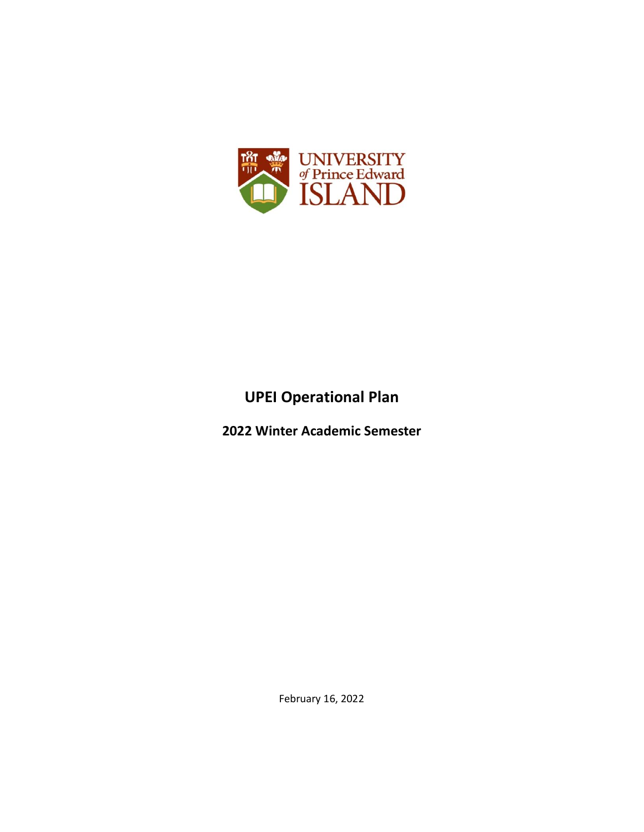

# **UPEI Operational Plan**

**2022 Winter Academic Semester**

February 16, 2022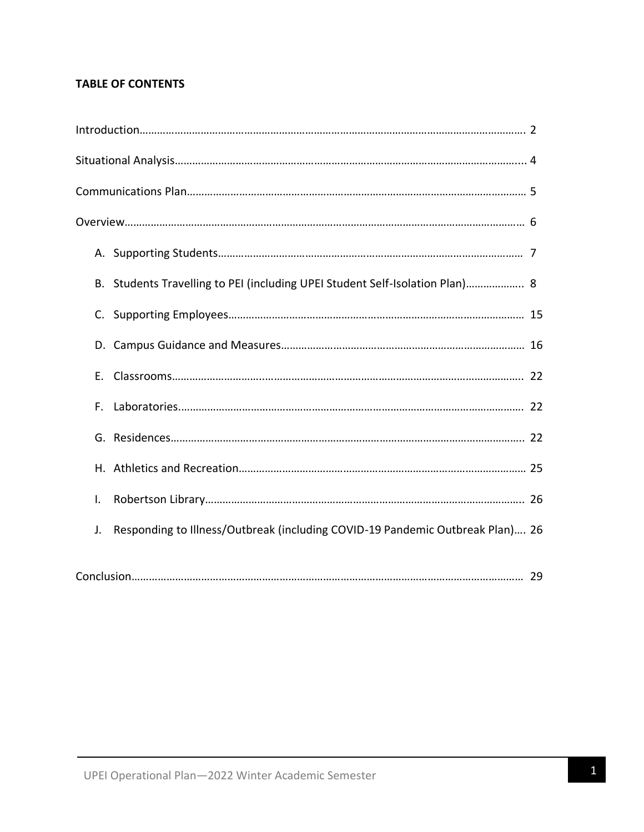## **TABLE OF CONTENTS**

|    | B. Students Travelling to PEI (including UPEI Student Self-Isolation Plan) 8  |  |
|----|-------------------------------------------------------------------------------|--|
|    |                                                                               |  |
|    |                                                                               |  |
|    |                                                                               |  |
|    |                                                                               |  |
|    |                                                                               |  |
| Е. |                                                                               |  |
| F. |                                                                               |  |
|    |                                                                               |  |
|    |                                                                               |  |
| I. |                                                                               |  |
| J. | Responding to Illness/Outbreak (including COVID-19 Pandemic Outbreak Plan) 26 |  |
|    |                                                                               |  |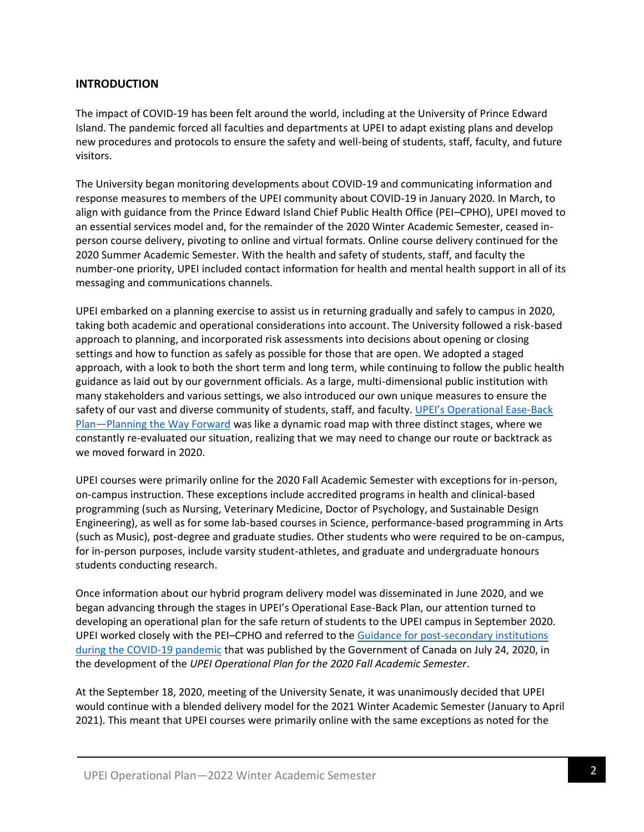## **INTRODUCTION**

The impact of COVID-19 has been felt around the world, including at the University of Prince Edward Island. The pandemic forced all faculties and departments at UPEI to adapt existing plans and develop new procedures and protocols to ensure the safety and well-being of students, staff, faculty, and future visitors.

The University began monitoring developments about COVID-19 and communicating information and response measures to members of the UPEI community about COVID-19 in January 2020. In March, to align with guidance from the Prince Edward Island Chief Public Health Office (PEI–CPHO), UPEI moved to an essential services model and, for the remainder of the 2020 Winter Academic Semester, ceased inperson course delivery, pivoting to online and virtual formats. Online course delivery continued for the 2020 Summer Academic Semester. With the health and safety of students, staff, and faculty the number-one priority, UPEI included contact information for health and mental health support in all of its messaging and communications channels.

UPEI embarked on a planning exercise to assist us in returning gradually and safely to campus in 2020, taking both academic and operational considerations into account. The University followed a risk-based approach to planning, and incorporated risk assessments into decisions about opening or closing settings and how to function as safely as possible for those that are open. We adopted a staged approach, with a look to both the short term and long term, while continuing to follow the public health guidance as laid out by our government officials. As a large, multi-dimensional public institution with many stakeholders and various settings, we also introduced our own unique measures to ensure the safety of our vast and diverse community of students, staff, and faculty. [UPEI's Operational Ease](https://www.upei.ca/easebackplan)-Back Plan—[Planning the Way Forward](https://www.upei.ca/easebackplan) was like a dynamic road map with three distinct stages, where we constantly re-evaluated our situation, realizing that we may need to change our route or backtrack as we moved forward in 2020.

UPEI courses were primarily online for the 2020 Fall Academic Semester with exceptions for in-person, on-campus instruction. These exceptions include accredited programs in health and clinical-based programming (such as Nursing, Veterinary Medicine, Doctor of Psychology, and Sustainable Design Engineering), as well as for some lab-based courses in Science, performance-based programming in Arts (such as Music), post-degree and graduate studies. Other students who were required to be on-campus, for in-person purposes, include varsity student-athletes, and graduate and undergraduate honours students conducting research.

Once information about our hybrid program delivery model was disseminated in June 2020, and we began advancing through the stages in UPEI's Operational Ease-Back Plan, our attention turned to developing an operational plan for the safe return of students to the UPEI campus in September 2020. UPEI worked closely with the PEI–CPHO and referred to the [Guidance for post-secondary institutions](https://www.canada.ca/en/public-health/services/diseases/2019-novel-coronavirus-infection/guidance-documents/covid-19-guidance-post-secondary-institutions-during-pandemic.html)  [during the COVID-19 pandemic](https://www.canada.ca/en/public-health/services/diseases/2019-novel-coronavirus-infection/guidance-documents/covid-19-guidance-post-secondary-institutions-during-pandemic.html) that was published by the Government of Canada on July 24, 2020, in the development of the *UPEI Operational Plan for the 2020 Fall Academic Semester*.

At the September 18, 2020, meeting of the University Senate, it was unanimously decided that UPEI would continue with a blended delivery model for the 2021 Winter Academic Semester (January to April 2021). This meant that UPEI courses were primarily online with the same exceptions as noted for the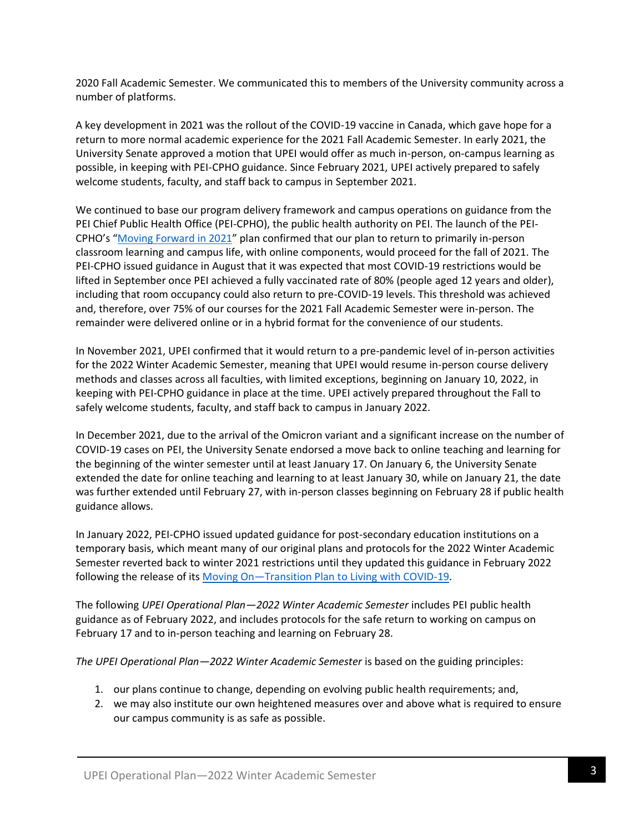2020 Fall Academic Semester. We communicated this to members of the University community across a number of platforms.

A key development in 2021 was the rollout of the COVID-19 vaccine in Canada, which gave hope for a return to more normal academic experience for the 2021 Fall Academic Semester. In early 2021, the University Senate approved a motion that UPEI would offer as much in-person, on-campus learning as possible, in keeping with PEI-CPHO guidance. Since February 2021, UPEI actively prepared to safely welcome students, faculty, and staff back to campus in September 2021.

We continued to base our program delivery framework and campus operations on guidance from the PEI Chief Public Health Office (PEI-CPHO), the public health authority on PEI. The launch of the PEI-CPHO's "[Moving Forward in 2021](https://www.princeedwardisland.ca/en/information/health-and-wellness/moving-forward-in-2021)" plan confirmed that our plan to return to primarily in-person classroom learning and campus life, with online components, would proceed for the fall of 2021. The PEI-CPHO issued guidance in August that it was expected that most COVID-19 restrictions would be lifted in September once PEI achieved a fully vaccinated rate of 80% (people aged 12 years and older), including that room occupancy could also return to pre-COVID-19 levels. This threshold was achieved and, therefore, over 75% of our courses for the 2021 Fall Academic Semester were in-person. The remainder were delivered online or in a hybrid format for the convenience of our students.

In November 2021, UPEI confirmed that it would return to a pre-pandemic level of in-person activities for the 2022 Winter Academic Semester, meaning that UPEI would resume in-person course delivery methods and classes across all faculties, with limited exceptions, beginning on January 10, 2022, in keeping with PEI-CPHO guidance in place at the time. UPEI actively prepared throughout the Fall to safely welcome students, faculty, and staff back to campus in January 2022.

In December 2021, due to the arrival of the Omicron variant and a significant increase on the number of COVID-19 cases on PEI, the University Senate endorsed a move back to online teaching and learning for the beginning of the winter semester until at least January 17. On January 6, the University Senate extended the date for online teaching and learning to at least January 30, while on January 21, the date was further extended until February 27, with in-person classes beginning on February 28 if public health guidance allows.

In January 2022, PEI-CPHO issued updated guidance for post-secondary education institutions on a temporary basis, which meant many of our original plans and protocols for the 2022 Winter Academic Semester reverted back to winter 2021 restrictions until they updated this guidance in February 2022 following the release of its Moving On-[Transition Plan to Living with COVID-19.](https://www.princeedwardisland.ca/en/information/health-and-wellness/moving-on-transition-plan-to-living-with-covid-19)

The following *UPEI Operational Plan—2022 Winter Academic Semester* includes PEI public health guidance as of February 2022, and includes protocols for the safe return to working on campus on February 17 and to in-person teaching and learning on February 28.

*The UPEI Operational Plan—2022 Winter Academic Semester* is based on the guiding principles:

- 1. our plans continue to change, depending on evolving public health requirements; and,
- 2. we may also institute our own heightened measures over and above what is required to ensure our campus community is as safe as possible.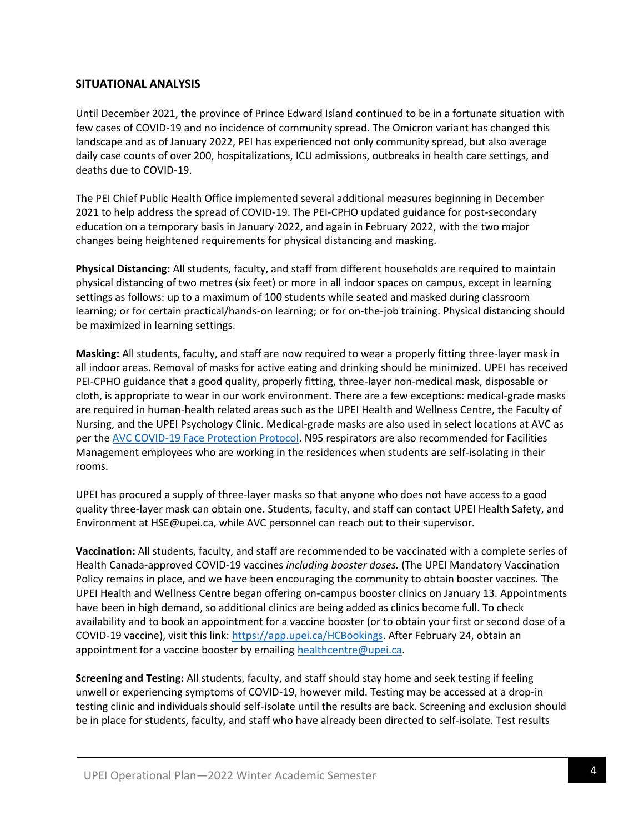## **SITUATIONAL ANALYSIS**

Until December 2021, the province of Prince Edward Island continued to be in a fortunate situation with few cases of COVID-19 and no incidence of community spread. The Omicron variant has changed this landscape and as of January 2022, PEI has experienced not only community spread, but also average daily case counts of over 200, hospitalizations, ICU admissions, outbreaks in health care settings, and deaths due to COVID-19.

The PEI Chief Public Health Office implemented several additional measures beginning in December 2021 to help address the spread of COVID-19. The PEI-CPHO updated guidance for post-secondary education on a temporary basis in January 2022, and again in February 2022, with the two major changes being heightened requirements for physical distancing and masking.

**Physical Distancing:** All students, faculty, and staff from different households are required to maintain physical distancing of two metres (six feet) or more in all indoor spaces on campus, except in learning settings as follows: up to a maximum of 100 students while seated and masked during classroom learning; or for certain practical/hands-on learning; or for on-the-job training. Physical distancing should be maximized in learning settings.

**Masking:** All students, faculty, and staff are now required to wear a properly fitting three-layer mask in all indoor areas. Removal of masks for active eating and drinking should be minimized. UPEI has received PEI-CPHO guidance that a good quality, properly fitting, three-layer non-medical mask, disposable or cloth, is appropriate to wear in our work environment. There are a few exceptions: medical-grade masks are required in human-health related areas such as the UPEI Health and Wellness Centre, the Faculty of Nursing, and the UPEI Psychology Clinic. Medical-grade masks are also used in select locations at AVC as per the [AVC COVID-19 Face Protection Protocol.](https://portal.upei.ca/facultystaff/administrativeservices/avc_dean/Documents/AVC%20COVID-19%20Face%20Protection%20Protocol%202022Jan21%20FINAL.pdf) N95 respirators are also recommended for Facilities Management employees who are working in the residences when students are self-isolating in their rooms.

UPEI has procured a supply of three-layer masks so that anyone who does not have access to a good quality three-layer mask can obtain one. Students, faculty, and staff can contact UPEI Health Safety, and Environment at HSE@upei.ca, while AVC personnel can reach out to their supervisor.

**Vaccination:** All students, faculty, and staff are recommended to be vaccinated with a complete series of Health Canada-approved COVID-19 vaccines *including booster doses.* (The UPEI Mandatory Vaccination Policy remains in place, and we have been encouraging the community to obtain booster vaccines. The UPEI Health and Wellness Centre began offering on-campus booster clinics on January 13. Appointments have been in high demand, so additional clinics are being added as clinics become full. To check availability and to book an appointment for a vaccine booster (or to obtain your first or second dose of a COVID-19 vaccine), visit this link: [https://app.upei.ca/HCBookings.](https://app.upei.ca/HCBookings) After February 24, obtain an appointment for a vaccine booster by emailing [healthcentre@upei.ca.](mailto:healthcentre@upei.ca)

**Screening and Testing:** All students, faculty, and staff should stay home and seek testing if feeling unwell or experiencing symptoms of COVID-19, however mild. Testing may be accessed at a drop-in testing clinic and individuals should self-isolate until the results are back. Screening and exclusion should be in place for students, faculty, and staff who have already been directed to self-isolate. Test results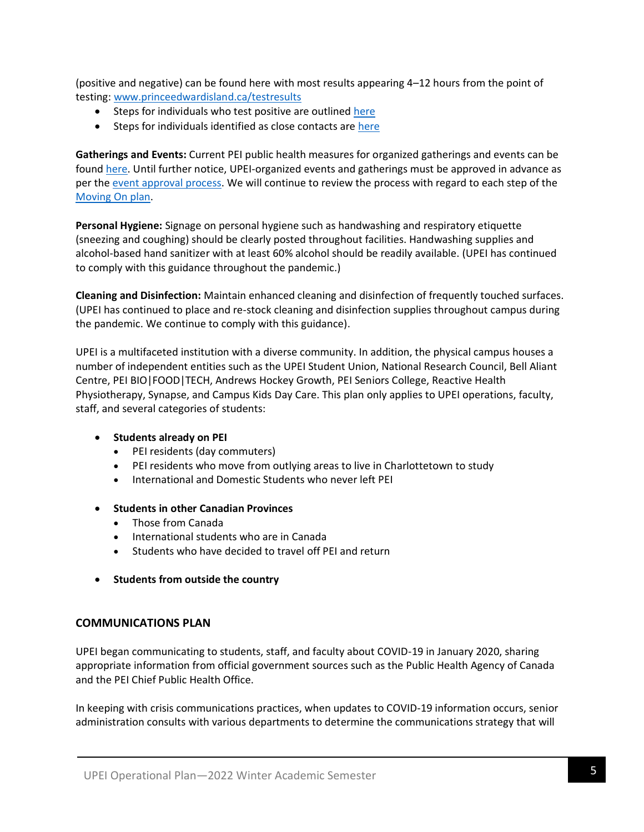(positive and negative) can be found here with most results appearing 4–12 hours from the point of testing: [www.princeedwardisland.ca/testresults](http://www.princeedwardisland.ca/testresults)

- Steps for individuals who test positive are outlined [here](http://www.princeedwardisland.ca/testedpositive)
- Steps for individuals identified as close contacts are [here](http://www.princeedwardisland.ca/closecontact)

**Gatherings and Events:** Current PEI public health measures for organized gatherings and events can be found [here.](https://www.princeedwardisland.ca/en/information/temporary-covid19-measures) Until further notice, UPEI-organized events and gatherings must be approved in advance as per the [event approval process.](https://www.upei.ca/office-vice-president-administration-and-finance/ceremonies-events/event-approval) We will continue to review the process with regard to each step of the [Moving On plan.](https://www.princeedwardisland.ca/en/information/health-and-wellness/moving-on-transition-plan-to-living-with-covid-19)

**Personal Hygiene:** Signage on personal hygiene such as handwashing and respiratory etiquette (sneezing and coughing) should be clearly posted throughout facilities. Handwashing supplies and alcohol-based hand sanitizer with at least 60% alcohol should be readily available. (UPEI has continued to comply with this guidance throughout the pandemic.)

**Cleaning and Disinfection:** Maintain enhanced cleaning and disinfection of frequently touched surfaces. (UPEI has continued to place and re-stock cleaning and disinfection supplies throughout campus during the pandemic. We continue to comply with this guidance).

UPEI is a multifaceted institution with a diverse community. In addition, the physical campus houses a number of independent entities such as the UPEI Student Union, National Research Council, Bell Aliant Centre, PEI BIO|FOOD|TECH, Andrews Hockey Growth, PEI Seniors College, Reactive Health Physiotherapy, Synapse, and Campus Kids Day Care. This plan only applies to UPEI operations, faculty, staff, and several categories of students:

## • **Students already on PEI**

- PEI residents (day commuters)
- PEI residents who move from outlying areas to live in Charlottetown to study
- International and Domestic Students who never left PEI
- **Students in other Canadian Provinces** 
	- Those from Canada
	- International students who are in Canada
	- Students who have decided to travel off PEI and return
- **Students from outside the country**

## **COMMUNICATIONS PLAN**

UPEI began communicating to students, staff, and faculty about COVID-19 in January 2020, sharing appropriate information from official government sources such as the Public Health Agency of Canada and the PEI Chief Public Health Office.

In keeping with crisis communications practices, when updates to COVID-19 information occurs, senior administration consults with various departments to determine the communications strategy that will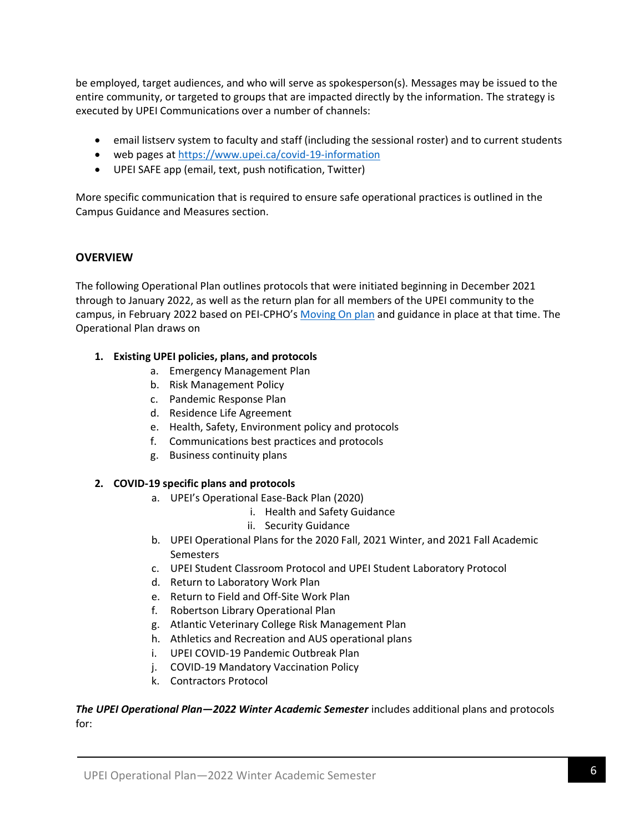be employed, target audiences, and who will serve as spokesperson(s). Messages may be issued to the entire community, or targeted to groups that are impacted directly by the information. The strategy is executed by UPEI Communications over a number of channels:

- email listserv system to faculty and staff (including the sessional roster) and to current students
- web pages at<https://www.upei.ca/covid-19-information>
- UPEI SAFE app (email, text, push notification, Twitter)

More specific communication that is required to ensure safe operational practices is outlined in the Campus Guidance and Measures section.

## **OVERVIEW**

The following Operational Plan outlines protocols that were initiated beginning in December 2021 through to January 2022, as well as the return plan for all members of the UPEI community to the campus, in February 2022 based on PEI-CPHO's [Moving On plan](https://www.princeedwardisland.ca/en/information/health-and-wellness/moving-on-transition-plan-to-living-with-covid-19) and guidance in place at that time. The Operational Plan draws on

## **1. Existing UPEI policies, plans, and protocols**

- a. Emergency Management Plan
- b. Risk Management Policy
- c. Pandemic Response Plan
- d. Residence Life Agreement
- e. Health, Safety, Environment policy and protocols
- f. Communications best practices and protocols
- g. Business continuity plans

## **2. COVID-19 specific plans and protocols**

- a. UPEI's Operational Ease-Back Plan (2020)
	- i. Health and Safety Guidance
	- ii. Security Guidance
- b. UPEI Operational Plans for the 2020 Fall, 2021 Winter, and 2021 Fall Academic **Semesters**
- c. UPEI Student Classroom Protocol and UPEI Student Laboratory Protocol
- d. Return to Laboratory Work Plan
- e. Return to Field and Off-Site Work Plan
- f. Robertson Library Operational Plan
- g. Atlantic Veterinary College Risk Management Plan
- h. Athletics and Recreation and AUS operational plans
- i. UPEI COVID-19 Pandemic Outbreak Plan
- j. COVID-19 Mandatory Vaccination Policy
- k. Contractors Protocol

*The UPEI Operational Plan—2022 Winter Academic Semester* includes additional plans and protocols for: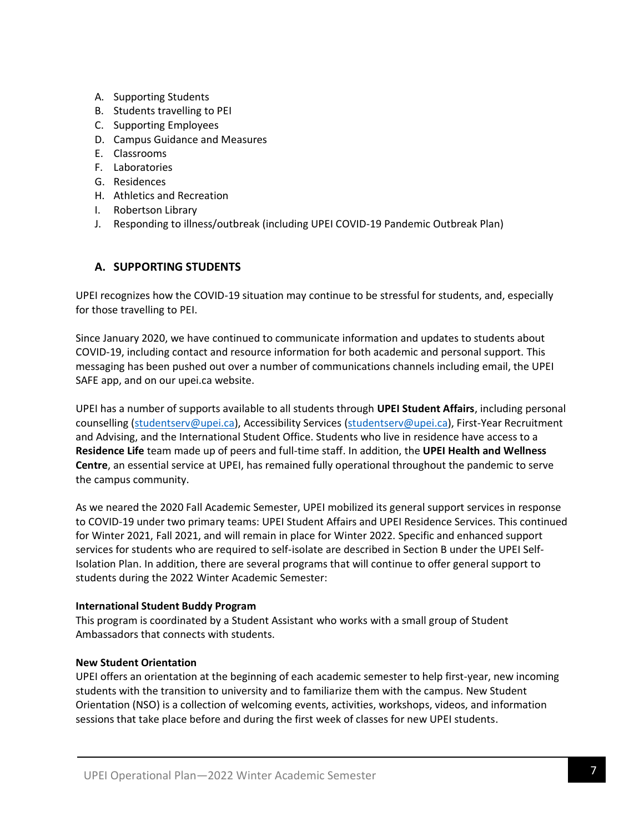- A. Supporting Students
- B. Students travelling to PEI
- C. Supporting Employees
- D. Campus Guidance and Measures
- E. Classrooms
- F. Laboratories
- G. Residences
- H. Athletics and Recreation
- I. Robertson Library
- J. Responding to illness/outbreak (including UPEI COVID-19 Pandemic Outbreak Plan)

## **A. SUPPORTING STUDENTS**

UPEI recognizes how the COVID-19 situation may continue to be stressful for students, and, especially for those travelling to PEI.

Since January 2020, we have continued to communicate information and updates to students about COVID-19, including contact and resource information for both academic and personal support. This messaging has been pushed out over a number of communications channels including email, the UPEI SAFE app, and on our upei.ca website.

UPEI has a number of supports available to all students through **UPEI Student Affairs**, including personal counselling [\(studentserv@upei.ca\)](mailto:studentserv@upei.ca), Accessibility Services [\(studentserv@upei.ca\)](mailto:studentserv@upei.ca), First-Year Recruitment and Advising, and the International Student Office. Students who live in residence have access to a **Residence Life** team made up of peers and full-time staff. In addition, the **UPEI Health and Wellness Centre**, an essential service at UPEI, has remained fully operational throughout the pandemic to serve the campus community.

As we neared the 2020 Fall Academic Semester, UPEI mobilized its general support services in response to COVID-19 under two primary teams: UPEI Student Affairs and UPEI Residence Services. This continued for Winter 2021, Fall 2021, and will remain in place for Winter 2022. Specific and enhanced support services for students who are required to self-isolate are described in Section B under the UPEI Self-Isolation Plan. In addition, there are several programs that will continue to offer general support to students during the 2022 Winter Academic Semester:

## **International Student Buddy Program**

This program is coordinated by a Student Assistant who works with a small group of Student Ambassadors that connects with students.

## **New Student Orientation**

UPEI offers an orientation at the beginning of each academic semester to help first-year, new incoming students with the transition to university and to familiarize them with the campus. New Student Orientation (NSO) is a collection of welcoming events, activities, workshops, videos, and information sessions that take place before and during the first week of classes for new UPEI students.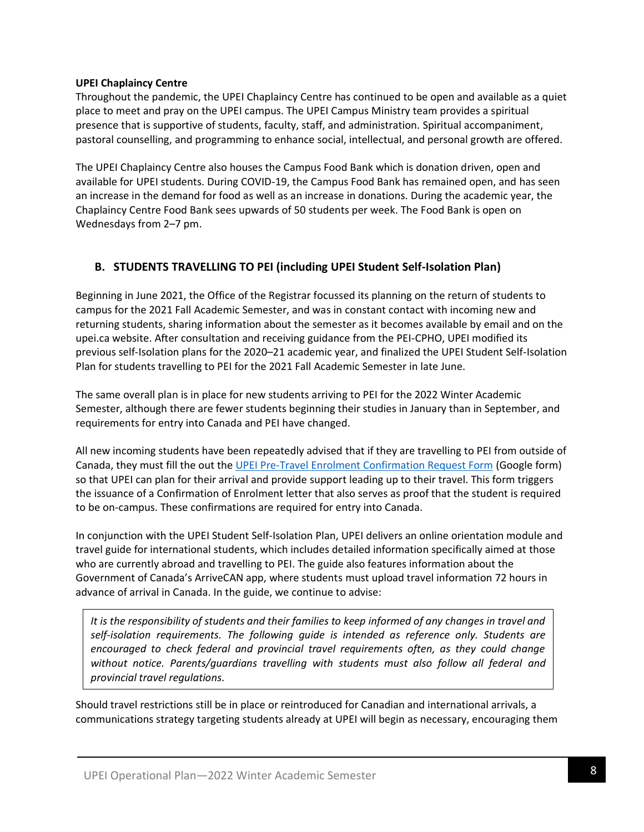## **UPEI Chaplaincy Centre**

Throughout the pandemic, the UPEI Chaplaincy Centre has continued to be open and available as a quiet place to meet and pray on the UPEI campus. The UPEI Campus Ministry team provides a spiritual presence that is supportive of students, faculty, staff, and administration. Spiritual accompaniment, pastoral counselling, and programming to enhance social, intellectual, and personal growth are offered.

The UPEI Chaplaincy Centre also houses the Campus Food Bank which is donation driven, open and available for UPEI students. During COVID-19, the Campus Food Bank has remained open, and has seen an increase in the demand for food as well as an increase in donations. During the academic year, the Chaplaincy Centre Food Bank sees upwards of 50 students per week. The Food Bank is open on Wednesdays from 2–7 pm.

## **B. STUDENTS TRAVELLING TO PEI (including UPEI Student Self-Isolation Plan)**

Beginning in June 2021, the Office of the Registrar focussed its planning on the return of students to campus for the 2021 Fall Academic Semester, and was in constant contact with incoming new and returning students, sharing information about the semester as it becomes available by email and on the upei.ca website. After consultation and receiving guidance from the PEI-CPHO, UPEI modified its previous self-Isolation plans for the 2020–21 academic year, and finalized the UPEI Student Self-Isolation Plan for students travelling to PEI for the 2021 Fall Academic Semester in late June.

The same overall plan is in place for new students arriving to PEI for the 2022 Winter Academic Semester, although there are fewer students beginning their studies in January than in September, and requirements for entry into Canada and PEI have changed.

All new incoming students have been repeatedly advised that if they are travelling to PEI from outside of Canada, they must fill the out the [UPEI Pre-Travel Enrolment Confirmation Request Form](https://docs.google.com/forms/d/e/1FAIpQLSdA8pC-iviL-RhQRaneoNAK2Z0lDF0yYz0LpsflFl6iG3dwag/viewform) (Google form) so that UPEI can plan for their arrival and provide support leading up to their travel. This form triggers the issuance of a Confirmation of Enrolment letter that also serves as proof that the student is required to be on-campus. These confirmations are required for entry into Canada.

In conjunction with the UPEI Student Self-Isolation Plan, UPEI delivers an online orientation module and travel guide for international students, which includes detailed information specifically aimed at those who are currently abroad and travelling to PEI. The guide also features information about the Government of Canada's ArriveCAN app, where students must upload travel information 72 hours in advance of arrival in Canada. In the guide, we continue to advise:

*It is the responsibility of students and their families to keep informed of any changes in travel and self-isolation requirements. The following guide is intended as reference only. Students are encouraged to check federal and provincial travel requirements often, as they could change without notice. Parents/guardians travelling with students must also follow all federal and provincial travel regulations.*

Should travel restrictions still be in place or reintroduced for Canadian and international arrivals, a communications strategy targeting students already at UPEI will begin as necessary, encouraging them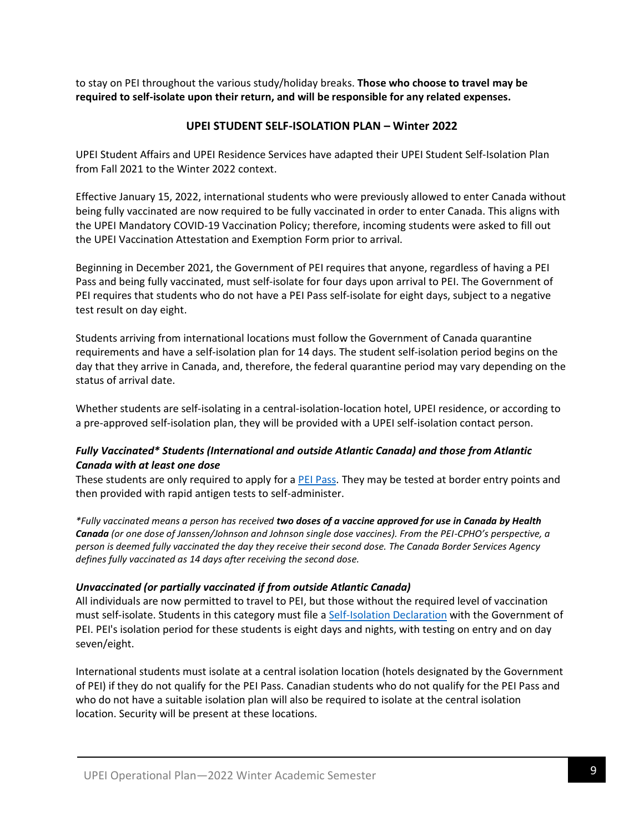to stay on PEI throughout the various study/holiday breaks. **Those who choose to travel may be required to self-isolate upon their return, and will be responsible for any related expenses.**

## **UPEI STUDENT SELF-ISOLATION PLAN – Winter 2022**

UPEI Student Affairs and UPEI Residence Services have adapted their UPEI Student Self-Isolation Plan from Fall 2021 to the Winter 2022 context.

Effective January 15, 2022, international students who were previously allowed to enter Canada without being fully vaccinated are now required to be fully vaccinated in order to enter Canada. This aligns with the UPEI Mandatory COVID-19 Vaccination Policy; therefore, incoming students were asked to fill out the UPEI Vaccination Attestation and Exemption Form prior to arrival.

Beginning in December 2021, the Government of PEI requires that anyone, regardless of having a PEI Pass and being fully vaccinated, must self-isolate for four days upon arrival to PEI. The Government of PEI requires that students who do not have a PEI Pass self-isolate for eight days, subject to a negative test result on day eight.

Students arriving from international locations must follow the Government of Canada quarantine requirements and have a self-isolation plan for 14 days. The student self-isolation period begins on the day that they arrive in Canada, and, therefore, the federal quarantine period may vary depending on the status of arrival date.

Whether students are self-isolating in a central-isolation-location hotel, UPEI residence, or according to a pre-approved self-isolation plan, they will be provided with a UPEI self-isolation contact person.

## *Fully Vaccinated\* Students (International and outside Atlantic Canada) and those from Atlantic Canada with at least one dose*

These students are only required to apply for a [PEI Pass.](https://www.princeedwardisland.ca/en/service/apply-for-a-pei-pass) They may be tested at border entry points and then provided with rapid antigen tests to self-administer.

*\*Fully vaccinated means a person has received two doses of a vaccine approved for use in Canada by Health Canada (or one dose of Janssen/Johnson and Johnson single dose vaccines). From the PEI-CPHO's perspective, a person is deemed fully vaccinated the day they receive their second dose. The Canada Border Services Agency defines fully vaccinated as 14 days after receiving the second dose.*

## *Unvaccinated (or partially vaccinated if from outside Atlantic Canada)*

All individuals are now permitted to travel to PEI, but those without the required level of vaccination must self-isolate. Students in this category must file a [Self-Isolation Declaration](https://www.princeedwardisland.ca/en/service/pei-self-isolation-declaration) with the Government of PEI. PEI's isolation period for these students is eight days and nights, with testing on entry and on day seven/eight.

International students must isolate at a central isolation location (hotels designated by the Government of PEI) if they do not qualify for the PEI Pass. Canadian students who do not qualify for the PEI Pass and who do not have a suitable isolation plan will also be required to isolate at the central isolation location. Security will be present at these locations.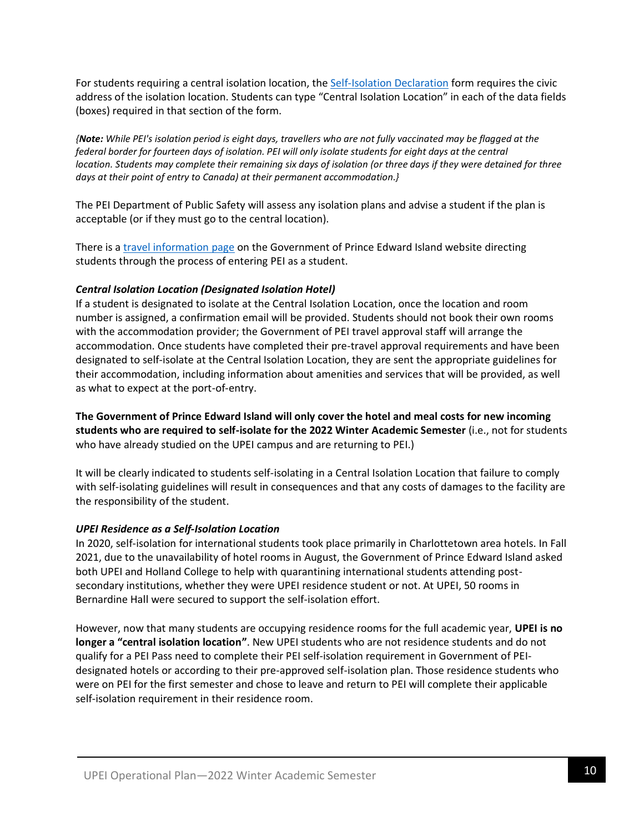For students requiring a central isolation location, the [Self-Isolation Declaration](https://www.princeedwardisland.ca/en/service/pei-self-isolation-declaration) form requires the civic address of the isolation location. Students can type "Central Isolation Location" in each of the data fields (boxes) required in that section of the form.

*{Note: While PEI's isolation period is eight days, travellers who are not fully vaccinated may be flagged at the federal border for fourteen days of isolation. PEI will only isolate students for eight days at the central location. Students may complete their remaining six days of isolation (or three days if they were detained for three days at their point of entry to Canada) at their permanent accommodation.}*

The PEI Department of Public Safety will assess any isolation plans and advise a student if the plan is acceptable (or if they must go to the central location).

There is a [travel information page](https://www.princeedwardisland.ca/en/service/enter-pei-as-a-student) on the Government of Prince Edward Island website directing students through the process of entering PEI as a student.

## *Central Isolation Location (Designated Isolation Hotel)*

If a student is designated to isolate at the Central Isolation Location, once the location and room number is assigned, a confirmation email will be provided. Students should not book their own rooms with the accommodation provider; the Government of PEI travel approval staff will arrange the accommodation. Once students have completed their pre-travel approval requirements and have been designated to self-isolate at the Central Isolation Location, they are sent the appropriate guidelines for their accommodation, including information about amenities and services that will be provided, as well as what to expect at the port-of-entry.

**The Government of Prince Edward Island will only cover the hotel and meal costs for new incoming students who are required to self-isolate for the 2022 Winter Academic Semester** (i.e., not for students who have already studied on the UPEI campus and are returning to PEI.)

It will be clearly indicated to students self-isolating in a Central Isolation Location that failure to comply with self-isolating guidelines will result in consequences and that any costs of damages to the facility are the responsibility of the student.

## *UPEI Residence as a Self-Isolation Location*

In 2020, self-isolation for international students took place primarily in Charlottetown area hotels. In Fall 2021, due to the unavailability of hotel rooms in August, the Government of Prince Edward Island asked both UPEI and Holland College to help with quarantining international students attending postsecondary institutions, whether they were UPEI residence student or not. At UPEI, 50 rooms in Bernardine Hall were secured to support the self-isolation effort.

However, now that many students are occupying residence rooms for the full academic year, **UPEI is no longer a "central isolation location"**. New UPEI students who are not residence students and do not qualify for a PEI Pass need to complete their PEI self-isolation requirement in Government of PEIdesignated hotels or according to their pre-approved self-isolation plan. Those residence students who were on PEI for the first semester and chose to leave and return to PEI will complete their applicable self-isolation requirement in their residence room.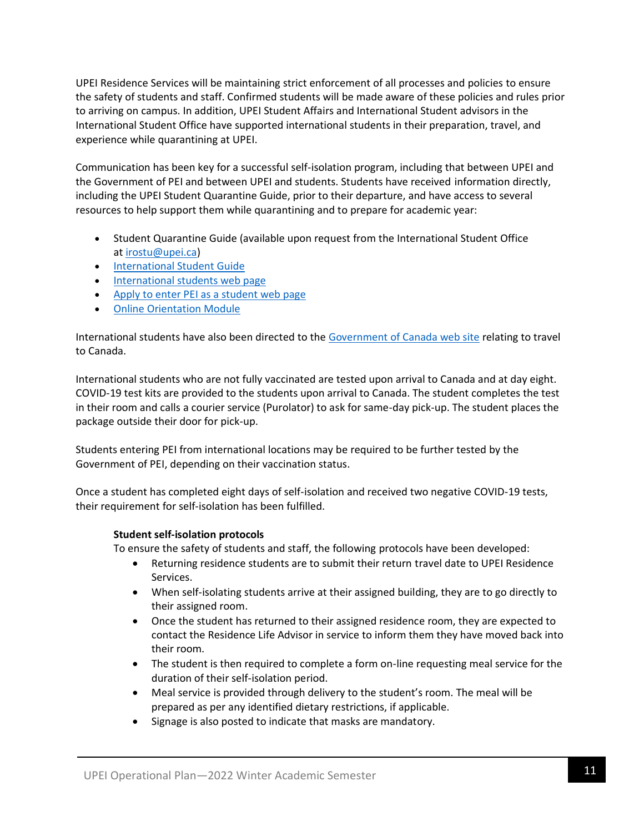UPEI Residence Services will be maintaining strict enforcement of all processes and policies to ensure the safety of students and staff. Confirmed students will be made aware of these policies and rules prior to arriving on campus. In addition, UPEI Student Affairs and International Student advisors in the International Student Office have supported international students in their preparation, travel, and experience while quarantining at UPEI.

Communication has been key for a successful self-isolation program, including that between UPEI and the Government of PEI and between UPEI and students. Students have received information directly, including the UPEI Student Quarantine Guide, prior to their departure, and have access to several resources to help support them while quarantining and to prepare for academic year:

- Student Quarantine Guide (available upon request from the International Student Office at [irostu@upei.ca\)](https://www.upei.ca/covid-19-information/irostu@upei.ca)
- [International Student Guide](https://files.upei.ca/studyabroad/international_student_guide.pdf)
- [International students web page](https://www.upei.ca/international-students)
- [Apply to enter PEI as a student web page](https://www.princeedwardisland.ca/en/service/enter-pei-as-a-student)
- [Online Orientation Module](https://moodle31.upei.ca/course/view.php?id=6105)

International students have also been directed to the [Government of Canada web site](https://travel.gc.ca/travel-covid/travel-restrictions/visitors-workers-students#students) relating to travel to Canada.

International students who are not fully vaccinated are tested upon arrival to Canada and at day eight. COVID-19 test kits are provided to the students upon arrival to Canada. The student completes the test in their room and calls a courier service (Purolator) to ask for same-day pick-up. The student places the package outside their door for pick-up.

Students entering PEI from international locations may be required to be further tested by the Government of PEI, depending on their vaccination status.

Once a student has completed eight days of self-isolation and received two negative COVID-19 tests, their requirement for self-isolation has been fulfilled.

## **Student self-isolation protocols**

To ensure the safety of students and staff, the following protocols have been developed:

- Returning residence students are to submit their return travel date to UPEI Residence Services.
- When self-isolating students arrive at their assigned building, they are to go directly to their assigned room.
- Once the student has returned to their assigned residence room, they are expected to contact the Residence Life Advisor in service to inform them they have moved back into their room.
- The student is then required to complete a form on-line requesting meal service for the duration of their self-isolation period.
- Meal service is provided through delivery to the student's room. The meal will be prepared as per any identified dietary restrictions, if applicable.
- Signage is also posted to indicate that masks are mandatory.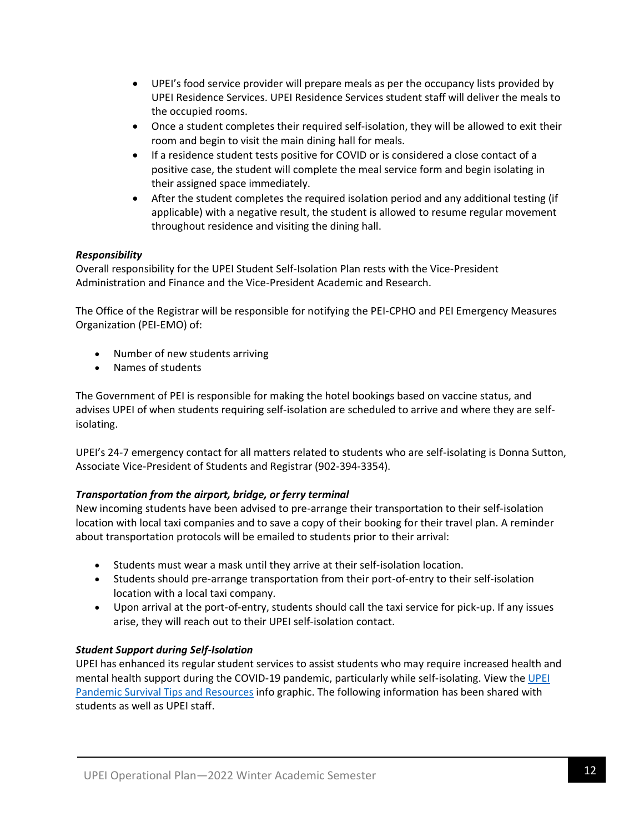- UPEI's food service provider will prepare meals as per the occupancy lists provided by UPEI Residence Services. UPEI Residence Services student staff will deliver the meals to the occupied rooms.
- Once a student completes their required self-isolation, they will be allowed to exit their room and begin to visit the main dining hall for meals.
- If a residence student tests positive for COVID or is considered a close contact of a positive case, the student will complete the meal service form and begin isolating in their assigned space immediately.
- After the student completes the required isolation period and any additional testing (if applicable) with a negative result, the student is allowed to resume regular movement throughout residence and visiting the dining hall.

## *Responsibility*

Overall responsibility for the UPEI Student Self-Isolation Plan rests with the Vice-President Administration and Finance and the Vice-President Academic and Research.

The Office of the Registrar will be responsible for notifying the PEI-CPHO and PEI Emergency Measures Organization (PEI-EMO) of:

- Number of new students arriving
- Names of students

The Government of PEI is responsible for making the hotel bookings based on vaccine status, and advises UPEI of when students requiring self-isolation are scheduled to arrive and where they are selfisolating.

UPEI's 24-7 emergency contact for all matters related to students who are self-isolating is Donna Sutton, Associate Vice-President of Students and Registrar (902-394-3354).

## *Transportation from the airport, bridge, or ferry terminal*

New incoming students have been advised to pre-arrange their transportation to their self-isolation location with local taxi companies and to save a copy of their booking for their travel plan. A reminder about transportation protocols will be emailed to students prior to their arrival:

- Students must wear a mask until they arrive at their self-isolation location.
- Students should pre-arrange transportation from their port-of-entry to their self-isolation location with a local taxi company.
- Upon arrival at the port-of-entry, students should call the taxi service for pick-up. If any issues arise, they will reach out to their UPEI self-isolation contact.

## *Student Support during Self-Isolation*

UPEI has enhanced its regular student services to assist students who may require increased health and mental health support during the COVID-19 pandemic, particularly while self-isolating. View the [UPEI](https://files.upei.ca/studentaffairs/pandemic_survival_tips_and_resources.pdf)  [Pandemic Survival Tips and Resources](https://files.upei.ca/studentaffairs/pandemic_survival_tips_and_resources.pdf) info graphic. The following information has been shared with students as well as UPEI staff.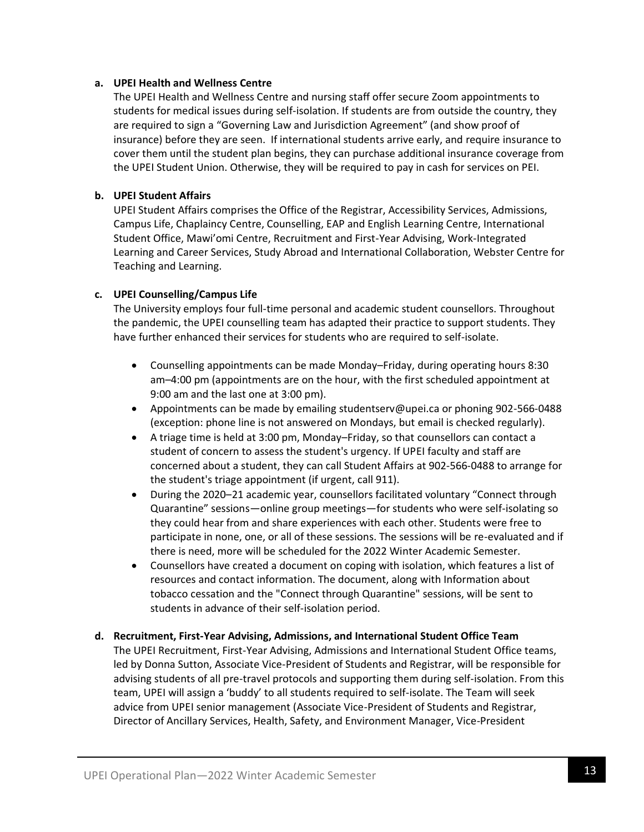#### **a. UPEI Health and Wellness Centre**

The UPEI Health and Wellness Centre and nursing staff offer secure Zoom appointments to students for medical issues during self-isolation. If students are from outside the country, they are required to sign a "Governing Law and Jurisdiction Agreement" (and show proof of insurance) before they are seen. If international students arrive early, and require insurance to cover them until the student plan begins, they can purchase additional insurance coverage from the UPEI Student Union. Otherwise, they will be required to pay in cash for services on PEI.

## **b. UPEI Student Affairs**

UPEI Student Affairs comprises the Office of the Registrar, Accessibility Services, Admissions, Campus Life, Chaplaincy Centre, Counselling, EAP and English Learning Centre, International Student Office, Mawi'omi Centre, Recruitment and First-Year Advising, Work-Integrated Learning and Career Services, Study Abroad and International Collaboration, Webster Centre for Teaching and Learning.

## **c. UPEI Counselling/Campus Life**

The University employs four full-time personal and academic student counsellors. Throughout the pandemic, the UPEI counselling team has adapted their practice to support students. They have further enhanced their services for students who are required to self-isolate.

- Counselling appointments can be made Monday–Friday, during operating hours 8:30 am–4:00 pm (appointments are on the hour, with the first scheduled appointment at 9:00 am and the last one at 3:00 pm).
- Appointments can be made by emailing studentserv@upei.ca or phoning 902-566-0488 (exception: phone line is not answered on Mondays, but email is checked regularly).
- A triage time is held at 3:00 pm, Monday–Friday, so that counsellors can contact a student of concern to assess the student's urgency. If UPEI faculty and staff are concerned about a student, they can call Student Affairs at 902-566-0488 to arrange for the student's triage appointment (if urgent, call 911).
- During the 2020–21 academic year, counsellors facilitated voluntary "Connect through Quarantine" sessions—online group meetings—for students who were self-isolating so they could hear from and share experiences with each other. Students were free to participate in none, one, or all of these sessions. The sessions will be re-evaluated and if there is need, more will be scheduled for the 2022 Winter Academic Semester.
- Counsellors have created a document on coping with isolation, which features a list of resources and contact information. The document, along with Information about tobacco cessation and the "Connect through Quarantine" sessions, will be sent to students in advance of their self-isolation period.

#### **d. Recruitment, First-Year Advising, Admissions, and International Student Office Team**

The UPEI Recruitment, First-Year Advising, Admissions and International Student Office teams, led by Donna Sutton, Associate Vice-President of Students and Registrar, will be responsible for advising students of all pre-travel protocols and supporting them during self-isolation. From this team, UPEI will assign a 'buddy' to all students required to self-isolate. The Team will seek advice from UPEI senior management (Associate Vice-President of Students and Registrar, Director of Ancillary Services, Health, Safety, and Environment Manager, Vice-President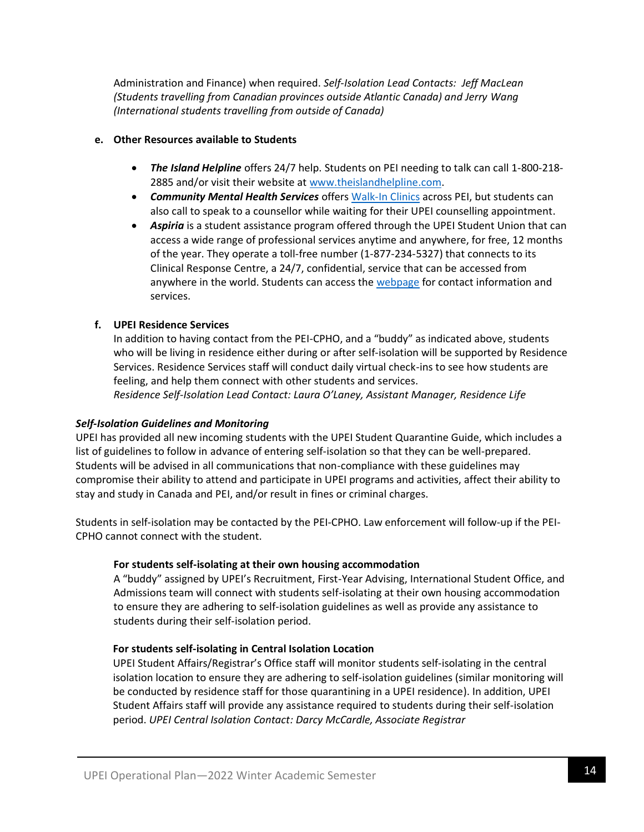Administration and Finance) when required. *Self-Isolation Lead Contacts: Jeff MacLean (Students travelling from Canadian provinces outside Atlantic Canada) and Jerry Wang (International students travelling from outside of Canada)*

## **e. Other Resources available to Students**

- *The Island Helpline* offers 24/7 help. Students on PEI needing to talk can call 1-800-218- 2885 and/or visit their website at [www.theislandhelpline.com.](http://www.theislandhelpline.com/)
- *Community Mental Health Services* offers [Walk-In Clinics](https://www.princeedwardisland.ca/en/information/health-pei/mental-health-walk-in-clinics) across PEI, but students can also call to speak to a counsellor while waiting for their UPEI counselling appointment.
- **Aspiria** is a student assistance program offered through the UPEI Student Union that can access a wide range of professional services anytime and anywhere, for free, 12 months of the year. They operate a toll-free number (1-877-234-5327) that connects to its Clinical Response Centre, a 24/7, confidential, service that can be accessed from anywhere in the world. Students can access the [webpage](http://upeisu.ca/aspiria/) for contact information and services.

## **f. UPEI Residence Services**

In addition to having contact from the PEI-CPHO, and a "buddy" as indicated above, students who will be living in residence either during or after self-isolation will be supported by Residence Services. Residence Services staff will conduct daily virtual check-ins to see how students are feeling, and help them connect with other students and services. *Residence Self-Isolation Lead Contact: Laura O'Laney, Assistant Manager, Residence Life*

## *Self-Isolation Guidelines and Monitoring*

UPEI has provided all new incoming students with the UPEI Student Quarantine Guide, which includes a list of guidelines to follow in advance of entering self-isolation so that they can be well-prepared. Students will be advised in all communications that non-compliance with these guidelines may compromise their ability to attend and participate in UPEI programs and activities, affect their ability to stay and study in Canada and PEI, and/or result in fines or criminal charges.

Students in self-isolation may be contacted by the PEI-CPHO. Law enforcement will follow-up if the PEI-CPHO cannot connect with the student.

## **For students self-isolating at their own housing accommodation**

A "buddy" assigned by UPEI's Recruitment, First-Year Advising, International Student Office, and Admissions team will connect with students self-isolating at their own housing accommodation to ensure they are adhering to self-isolation guidelines as well as provide any assistance to students during their self-isolation period.

## **For students self-isolating in Central Isolation Location**

UPEI Student Affairs/Registrar's Office staff will monitor students self-isolating in the central isolation location to ensure they are adhering to self-isolation guidelines (similar monitoring will be conducted by residence staff for those quarantining in a UPEI residence). In addition, UPEI Student Affairs staff will provide any assistance required to students during their self-isolation period. *UPEI Central Isolation Contact: Darcy McCardle, Associate Registrar*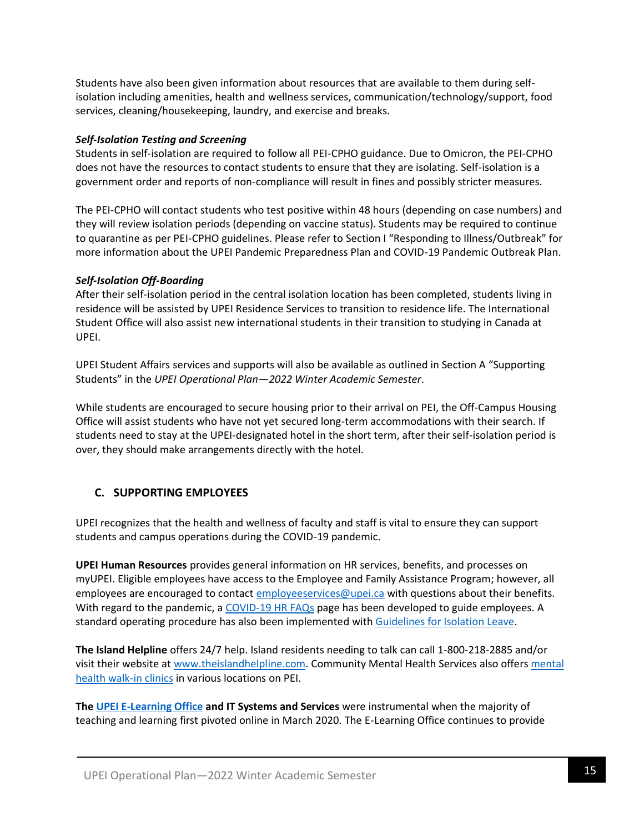Students have also been given information about resources that are available to them during selfisolation including amenities, health and wellness services, communication/technology/support, food services, cleaning/housekeeping, laundry, and exercise and breaks.

## *Self-Isolation Testing and Screening*

Students in self-isolation are required to follow all PEI-CPHO guidance. Due to Omicron, the PEI-CPHO does not have the resources to contact students to ensure that they are isolating. Self-isolation is a government order and reports of non-compliance will result in fines and possibly stricter measures.

The PEI-CPHO will contact students who test positive within 48 hours (depending on case numbers) and they will review isolation periods (depending on vaccine status). Students may be required to continue to quarantine as per PEI-CPHO guidelines. Please refer to Section I "Responding to Illness/Outbreak" for more information about the UPEI Pandemic Preparedness Plan and COVID-19 Pandemic Outbreak Plan.

## *Self-Isolation Off-Boarding*

After their self-isolation period in the central isolation location has been completed, students living in residence will be assisted by UPEI Residence Services to transition to residence life. The International Student Office will also assist new international students in their transition to studying in Canada at UPEI.

UPEI Student Affairs services and supports will also be available as outlined in Section A "Supporting Students" in the *UPEI Operational Plan—2022 Winter Academic Semester*.

While students are encouraged to secure housing prior to their arrival on PEI, the Off-Campus Housing Office will assist students who have not yet secured long-term accommodations with their search. If students need to stay at the UPEI-designated hotel in the short term, after their self-isolation period is over, they should make arrangements directly with the hotel.

## **C. SUPPORTING EMPLOYEES**

UPEI recognizes that the health and wellness of faculty and staff is vital to ensure they can support students and campus operations during the COVID-19 pandemic.

**UPEI Human Resources** provides general information on HR services, benefits, and processes on myUPEI. Eligible employees have access to the Employee and Family Assistance Program; however, all employees are encouraged to contac[t employeeservices@upei.ca](mailto:employeeservices@upei.ca) with questions about their benefits. With regard to the pandemic, a [COVID-19 HR FAQs](https://portal.upei.ca/facultystaff/administrativeservices/HR/Documents/COVID-19%20HR%20FAQ.pdf) page has been developed to guide employees. A standard operating procedure has also been implemented with [Guidelines for Isolation Leave.](https://portal.upei.ca/facultystaff/administrativeservices/HR/Documents/Guidelines%20for%20Isolation%20Leave.pdf)

**The Island Helpline** offers 24/7 help. Island residents needing to talk can call 1-800-218-2885 and/or visit their website at [www.theislandhelpline.com.](http://www.theislandhelpline.com/) Community Mental Health Services also offers [mental](https://www.princeedwardisland.ca/en/information/health-pei/mental-health-walk-in-clinics)  [health walk-in clinics](https://www.princeedwardisland.ca/en/information/health-pei/mental-health-walk-in-clinics) in various locations on PEI.

**Th[e UPEI E-Learning Office](https://www.upei.ca/teaching-and-learning-centre/elo) and IT Systems and Services** were instrumental when the majority of teaching and learning first pivoted online in March 2020. The E-Learning Office continues to provide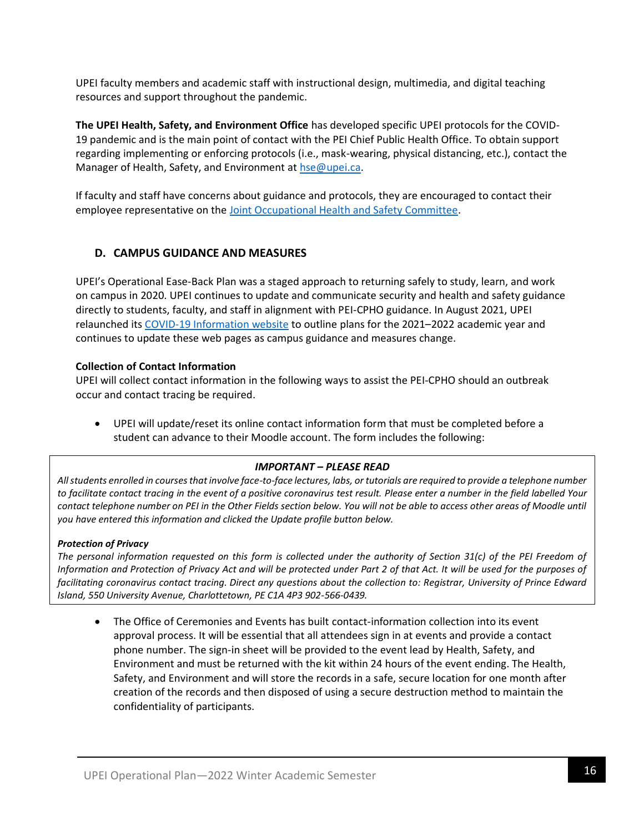UPEI faculty members and academic staff with instructional design, multimedia, and digital teaching resources and support throughout the pandemic.

**The UPEI Health, Safety, and Environment Office** has developed specific UPEI protocols for the COVID-19 pandemic and is the main point of contact with the PEI Chief Public Health Office. To obtain support regarding implementing or enforcing protocols (i.e., mask-wearing, physical distancing, etc.), contact the Manager of Health, Safety, and Environment at [hse@upei.ca.](mailto:hse@upei.ca)

If faculty and staff have concerns about guidance and protocols, they are encouraged to contact their employee representative on the [Joint Occupational Health and Safety Committee.](https://files.upei.ca/healthandsafety/upei_health_and_safety_working_groups.pdf)

## **D. CAMPUS GUIDANCE AND MEASURES**

UPEI's Operational Ease-Back Plan was a staged approach to returning safely to study, learn, and work on campus in 2020. UPEI continues to update and communicate security and health and safety guidance directly to students, faculty, and staff in alignment with PEI-CPHO guidance. In August 2021, UPEI relaunched its [COVID-19 Information](https://www.upei.ca/covid-19-information) website to outline plans for the 2021–2022 academic year and continues to update these web pages as campus guidance and measures change.

## **Collection of Contact Information**

UPEI will collect contact information in the following ways to assist the PEI-CPHO should an outbreak occur and contact tracing be required.

• UPEI will update/reset its online contact information form that must be completed before a student can advance to their Moodle account. The form includes the following:

## *IMPORTANT – PLEASE READ*

*All students enrolled in courses that involve face-to-face lectures, labs, or tutorials are required to provide a telephone number to facilitate contact tracing in the event of a positive coronavirus test result. Please enter a number in the field labelled Your contact telephone number on PEI in the Other Fields section below. You will not be able to access other areas of Moodle until you have entered this information and clicked the Update profile button below.*

## *Protection of Privacy*

The personal information requested on this form is collected under the authority of Section 31(c) of the PEI Freedom of *Information and Protection of Privacy Act and will be protected under Part 2 of that Act. It will be used for the purposes of facilitating coronavirus contact tracing. Direct any questions about the collection to: Registrar, University of Prince Edward Island, 550 University Avenue, Charlottetown, PE C1A 4P3 902-566-0439.*

• The Office of Ceremonies and Events has built contact-information collection into its event approval process. It will be essential that all attendees sign in at events and provide a contact phone number. The sign-in sheet will be provided to the event lead by Health, Safety, and Environment and must be returned with the kit within 24 hours of the event ending. The Health, Safety, and Environment and will store the records in a safe, secure location for one month after creation of the records and then disposed of using a secure destruction method to maintain the confidentiality of participants.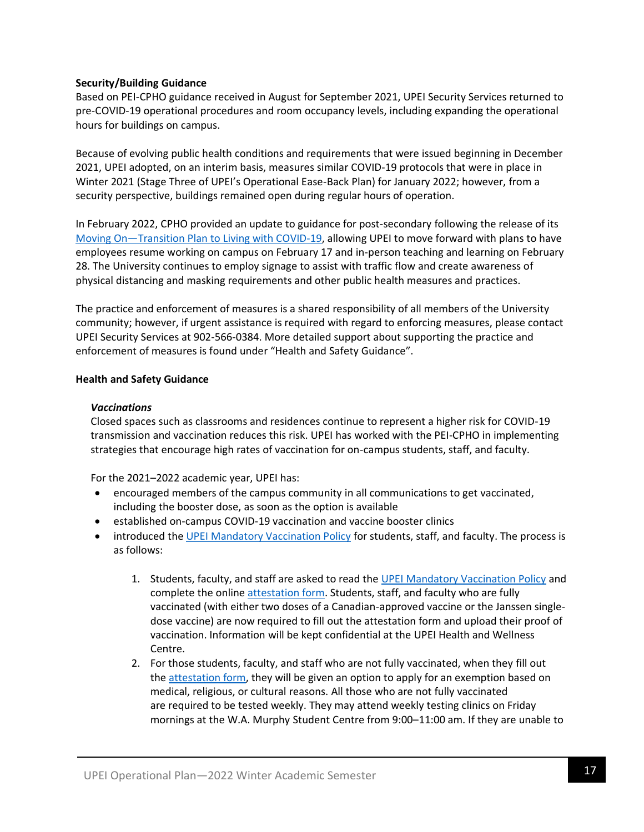## **Security/Building Guidance**

Based on PEI-CPHO guidance received in August for September 2021, UPEI Security Services returned to pre-COVID-19 operational procedures and room occupancy levels, including expanding the operational hours for buildings on campus.

Because of evolving public health conditions and requirements that were issued beginning in December 2021, UPEI adopted, on an interim basis, measures similar COVID-19 protocols that were in place in Winter 2021 (Stage Three of UPEI's Operational Ease-Back Plan) for January 2022; however, from a security perspective, buildings remained open during regular hours of operation.

In February 2022, CPHO provided an update to guidance for post-secondary following the release of its Moving On—[Transition Plan to Living with COVID-19,](https://www.princeedwardisland.ca/en/information/health-and-wellness/moving-on-transition-plan-to-living-with-covid-19) allowing UPEI to move forward with plans to have employees resume working on campus on February 17 and in-person teaching and learning on February 28. The University continues to employ signage to assist with traffic flow and create awareness of physical distancing and masking requirements and other public health measures and practices.

The practice and enforcement of measures is a shared responsibility of all members of the University community; however, if urgent assistance is required with regard to enforcing measures, please contact UPEI Security Services at 902-566-0384. More detailed support about supporting the practice and enforcement of measures is found under "Health and Safety Guidance".

#### **Health and Safety Guidance**

#### *Vaccinations*

Closed spaces such as classrooms and residences continue to represent a higher risk for COVID-19 transmission and vaccination reduces this risk. UPEI has worked with the PEI-CPHO in implementing strategies that encourage high rates of vaccination for on-campus students, staff, and faculty.

For the 2021–2022 academic year, UPEI has:

- encouraged members of the campus community in all communications to get vaccinated, including the booster dose, as soon as the option is available
- established on-campus COVID-19 vaccination and vaccine booster clinics
- introduced the [UPEI Mandatory Vaccination Policy](https://files.upei.ca/policy/upei_mandatory_vaccination_policy.pdf) for students, staff, and faculty. The process is as follows:
	- 1. Students, faculty, and staff are asked to read the [UPEI Mandatory Vaccination Policy](https://files.upei.ca/policy/upei_mandatory_vaccination_policy.pdf) and complete the online [attestation form.](https://go.upei.ca/vaccine) Students, staff, and faculty who are fully vaccinated (with either two doses of a Canadian-approved vaccine or the Janssen singledose vaccine) are now required to fill out the attestation form and upload their proof of vaccination. Information will be kept confidential at the UPEI Health and Wellness Centre.
	- 2. For those students, faculty, and staff who are not fully vaccinated, when they fill out the [attestation form,](https://www.upei.ca/covid-19-information/go.upei.ca/vaccine) they will be given an option to apply for an exemption based on medical, religious, or cultural reasons. All those who are not fully vaccinated are required to be tested weekly. They may attend weekly testing clinics on Friday mornings at the W.A. Murphy Student Centre from 9:00–11:00 am. If they are unable to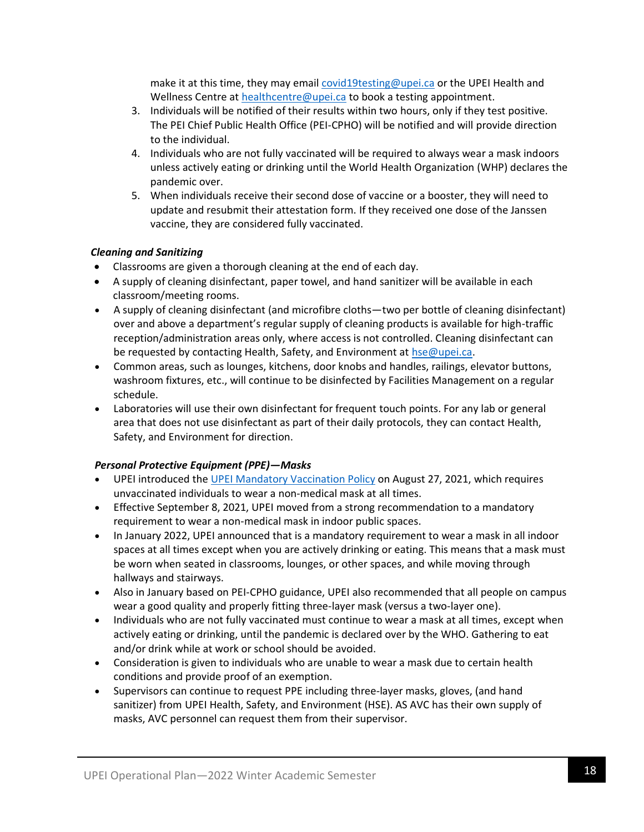make it at this time, they may emai[l covid19testing@upei.ca](mailto:covid19testing@upei.ca) or the UPEI Health and Wellness Centre at [healthcentre@upei.ca](mailto:healthcentre@upei.ca) to book a testing appointment.

- 3. Individuals will be notified of their results within two hours, only if they test positive. The PEI Chief Public Health Office (PEI-CPHO) will be notified and will provide direction to the individual.
- 4. Individuals who are not fully vaccinated will be required to always wear a mask indoors unless actively eating or drinking until the World Health Organization (WHP) declares the pandemic over.
- 5. When individuals receive their second dose of vaccine or a booster, they will need to update and resubmit their attestation form. If they received one dose of the Janssen vaccine, they are considered fully vaccinated.

## *Cleaning and Sanitizing*

- Classrooms are given a thorough cleaning at the end of each day.
- A supply of cleaning disinfectant, paper towel, and hand sanitizer will be available in each classroom/meeting rooms.
- A supply of cleaning disinfectant (and microfibre cloths—two per bottle of cleaning disinfectant) over and above a department's regular supply of cleaning products is available for high-traffic reception/administration areas only, where access is not controlled. Cleaning disinfectant can be requested by contacting Health, Safety, and Environment at [hse@upei.ca.](mailto:hse@upei.ca)
- Common areas, such as lounges, kitchens, door knobs and handles, railings, elevator buttons, washroom fixtures, etc., will continue to be disinfected by Facilities Management on a regular schedule.
- Laboratories will use their own disinfectant for frequent touch points. For any lab or general area that does not use disinfectant as part of their daily protocols, they can contact Health, Safety, and Environment for direction.

## *Personal Protective Equipment (PPE)—Masks*

- UPEI introduced the [UPEI Mandatory Vaccination Policy](https://files.upei.ca/policy/upei_mandatory_vaccination_policy.pdf) on August 27, 2021, which requires unvaccinated individuals to wear a non-medical mask at all times.
- Effective September 8, 2021, UPEI moved from a strong recommendation to a mandatory requirement to wear a non-medical mask in indoor public spaces.
- In January 2022, UPEI announced that is a mandatory requirement to wear a mask in all indoor spaces at all times except when you are actively drinking or eating. This means that a mask must be worn when seated in classrooms, lounges, or other spaces, and while moving through hallways and stairways.
- Also in January based on PEI-CPHO guidance, UPEI also recommended that all people on campus wear a good quality and properly fitting three-layer mask (versus a two-layer one).
- Individuals who are not fully vaccinated must continue to wear a mask at all times, except when actively eating or drinking, until the pandemic is declared over by the WHO. Gathering to eat and/or drink while at work or school should be avoided.
- Consideration is given to individuals who are unable to wear a mask due to certain health conditions and provide proof of an exemption.
- Supervisors can continue to request PPE including three-layer masks, gloves, (and hand sanitizer) from UPEI Health, Safety, and Environment (HSE). AS AVC has their own supply of masks, AVC personnel can request them from their supervisor.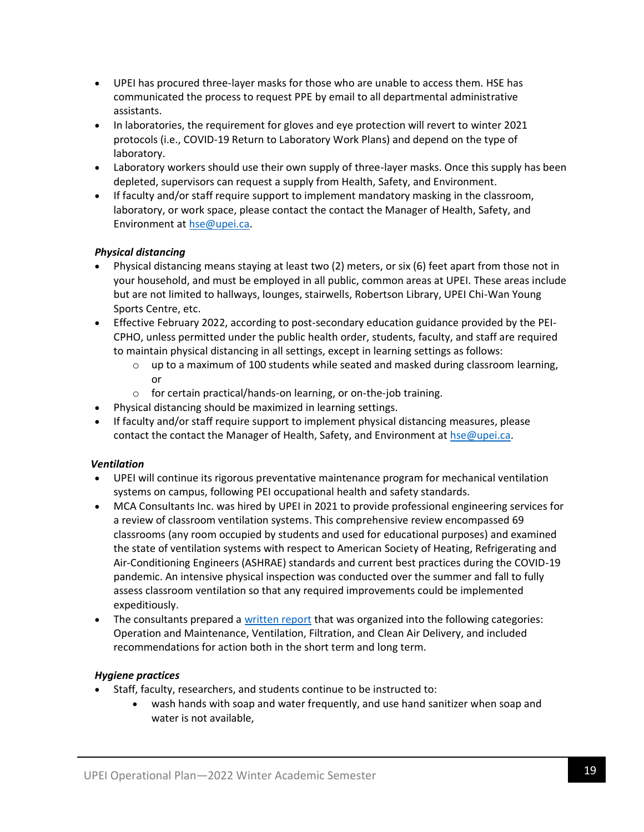- UPEI has procured three-layer masks for those who are unable to access them. HSE has communicated the process to request PPE by email to all departmental administrative assistants.
- In laboratories, the requirement for gloves and eye protection will revert to winter 2021 protocols (i.e., COVID-19 Return to Laboratory Work Plans) and depend on the type of laboratory.
- Laboratory workers should use their own supply of three-layer masks. Once this supply has been depleted, supervisors can request a supply from Health, Safety, and Environment.
- If faculty and/or staff require support to implement mandatory masking in the classroom, laboratory, or work space, please contact the contact the Manager of Health, Safety, and Environment a[t hse@upei.ca.](mailto:hse@upei.ca)

## *Physical distancing*

- Physical distancing means staying at least two (2) meters, or six (6) feet apart from those not in your household, and must be employed in all public, common areas at UPEI. These areas include but are not limited to hallways, lounges, stairwells, Robertson Library, UPEI Chi-Wan Young Sports Centre, etc.
- Effective February 2022, according to post-secondary education guidance provided by the PEI-CPHO, unless permitted under the public health order, students, faculty, and staff are required to maintain physical distancing in all settings, except in learning settings as follows:
	- $\circ$  up to a maximum of 100 students while seated and masked during classroom learning, or
	- o for certain practical/hands-on learning, or on-the-job training.
- Physical distancing should be maximized in learning settings.
- If faculty and/or staff require support to implement physical distancing measures, please contact the contact the Manager of Health, Safety, and Environment at [hse@upei.ca.](mailto:hse@upei.ca)

## *Ventilation*

- UPEI will continue its rigorous preventative maintenance program for mechanical ventilation systems on campus, following PEI occupational health and safety standards.
- MCA Consultants Inc. was hired by UPEI in 2021 to provide professional engineering services for a review of classroom ventilation systems. This comprehensive review encompassed 69 classrooms (any room occupied by students and used for educational purposes) and examined the state of ventilation systems with respect to American Society of Heating, Refrigerating and Air-Conditioning Engineers (ASHRAE) standards and current best practices during the COVID-19 pandemic. An intensive physical inspection was conducted over the summer and fall to fully assess classroom ventilation so that any required improvements could be implemented expeditiously.
- The consultants prepared a [written report](https://files.upei.ca/healthandsafety/upei_ventilation_study_final_report.pdf) that was organized into the following categories: Operation and Maintenance, Ventilation, Filtration, and Clean Air Delivery, and included recommendations for action both in the short term and long term.

## *Hygiene practices*

- Staff, faculty, researchers, and students continue to be instructed to:
	- wash hands with soap and water frequently, and use hand sanitizer when soap and water is not available,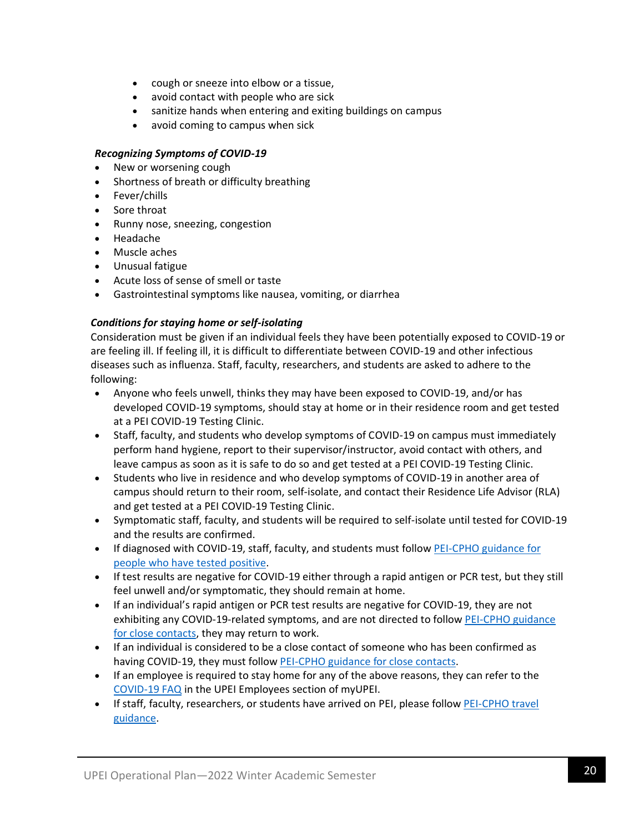- cough or sneeze into elbow or a tissue,
- avoid contact with people who are sick
- sanitize hands when entering and exiting buildings on campus
- avoid coming to campus when sick

## *Recognizing Symptoms of COVID-19*

- New or worsening cough
- Shortness of breath or difficulty breathing
- Fever/chills
- Sore throat
- Runny nose, sneezing, congestion
- Headache
- Muscle aches
- Unusual fatigue
- Acute loss of sense of smell or taste
- Gastrointestinal symptoms like nausea, vomiting, or diarrhea

## *Conditions for staying home or self-isolating*

Consideration must be given if an individual feels they have been potentially exposed to COVID-19 or are feeling ill. If feeling ill, it is difficult to differentiate between COVID-19 and other infectious diseases such as influenza. Staff, faculty, researchers, and students are asked to adhere to the following:

- Anyone who feels unwell, thinks they may have been exposed to COVID-19, and/or has developed COVID-19 symptoms, should stay at home or in their residence room and get tested at a PEI COVID-19 Testing Clinic.
- Staff, faculty, and students who develop symptoms of COVID-19 on campus must immediately perform hand hygiene, report to their supervisor/instructor, avoid contact with others, and leave campus as soon as it is safe to do so and get tested at a PEI COVID-19 Testing Clinic.
- Students who live in residence and who develop symptoms of COVID-19 in another area of campus should return to their room, self-isolate, and contact their Residence Life Advisor (RLA) and get tested at a PEI COVID-19 Testing Clinic.
- Symptomatic staff, faculty, and students will be required to self-isolate until tested for COVID-19 and the results are confirmed.
- If diagnosed with COVID-19, staff, faculty, and students must follo[w PEI-CPHO guidance](https://www.princeedwardisland.ca/en/information/health-and-wellness/information-for-people-who-have-tested-positive-for-covid-19) for [people who have tested positive.](https://www.princeedwardisland.ca/en/information/health-and-wellness/information-for-people-who-have-tested-positive-for-covid-19)
- If test results are negative for COVID-19 either through a rapid antigen or PCR test, but they still feel unwell and/or symptomatic, they should remain at home.
- If an individual's rapid antigen or PCR test results are negative for COVID-19, they are not exhibiting any COVID-19-related symptoms, and are not directed to follow [PEI-CPHO guidance](https://www.princeedwardisland.ca/en/information/health-and-wellness/covid-19-close-contacts#closecontact)  [for close contacts,](https://www.princeedwardisland.ca/en/information/health-and-wellness/covid-19-close-contacts#closecontact) they may return to work.
- If an individual is considered to be a close contact of someone who has been confirmed as having COVID-19, they must follow [PEI-CPHO guidance for close contacts.](https://www.princeedwardisland.ca/en/information/health-and-wellness/covid-19-close-contacts#closecontact)
- If an employee is required to stay home for any of the above reasons, they can refer to the [COVID-19 FAQ](https://portal.upei.ca/facultystaff/administrativeservices/HR/Documents/COVID-19%20HR%20FAQ.pdf) in the UPEI Employees section of myUPEI.
- If staff, faculty, researchers, or students have arrived on PEI, please follow PEI-CPHO travel [guidance.](https://www.princeedwardisland.ca/en/topic/travel)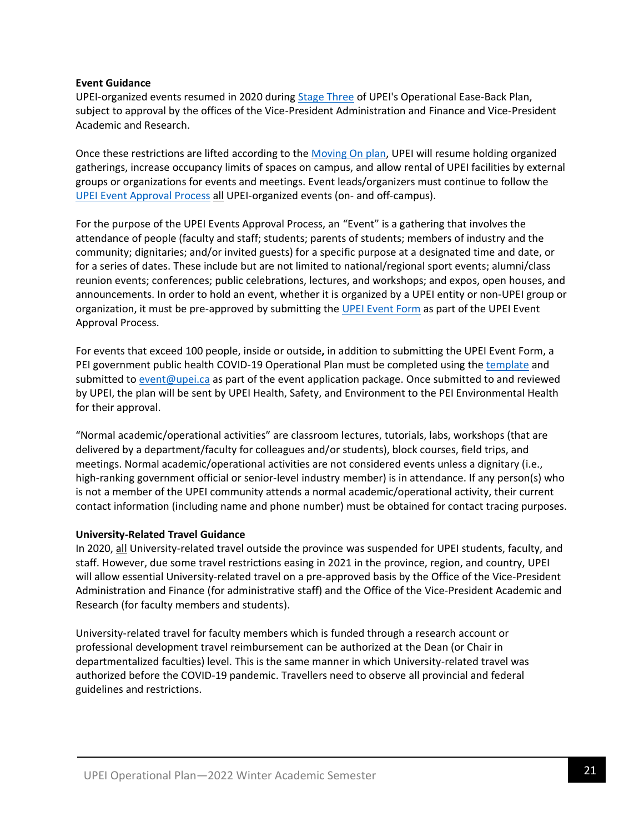#### **Event Guidance**

UPEI-organized events resumed in 2020 during [Stage Three](https://www.upei.ca/easebackplan/stage3) of UPEI's Operational Ease-Back Plan, subject to approval by the offices of the Vice-President Administration and Finance and Vice-President Academic and Research.

Once these restrictions are lifted according to the [Moving On plan,](https://www.princeedwardisland.ca/en/information/health-and-wellness/moving-on-transition-plan-to-living-with-covid-19) UPEI will resume holding organized gatherings, increase occupancy limits of spaces on campus, and allow rental of UPEI facilities by external groups or organizations for events and meetings. Event leads/organizers must continue to follow the [UPEI Event Approval Process](https://www.upei.ca/office-vice-president-administration-and-finance/ceremonies-events/event-approval) all UPEI-organized events (on- and off-campus).

For the purpose of the UPEI Events Approval Process, an "Event" is a gathering that involves the attendance of people (faculty and staff; students; parents of students; members of industry and the community; dignitaries; and/or invited guests) for a specific purpose at a designated time and date, or for a series of dates. These include but are not limited to national/regional sport events; alumni/class reunion events; conferences; public celebrations, lectures, and workshops; and expos, open houses, and announcements. In order to hold an event, whether it is organized by a UPEI entity or non-UPEI group or organization, it must be pre-approved by submitting the [UPEI Event Form](https://www.upei.ca/office-vice-president-administration-and-finance/ceremonies-events/event-approval) as part of the UPEI Event Approval Process.

For events that exceed 100 people, inside or outside**,** in addition to submitting the UPEI Event Form, a PEI government public health COVID-19 Operational Plan must be completed using the [template](https://www.princeedwardisland.ca/en/publication/covid-19-operational-plan-template) and submitted to [event@upei.ca](mailto:event@upei.ca) as part of the event application package. Once submitted to and reviewed by UPEI, the plan will be sent by UPEI Health, Safety, and Environment to the PEI Environmental Health for their approval.

"Normal academic/operational activities" are classroom lectures, tutorials, labs, workshops (that are delivered by a department/faculty for colleagues and/or students), block courses, field trips, and meetings. Normal academic/operational activities are not considered events unless a dignitary (i.e., high-ranking government official or senior-level industry member) is in attendance. If any person(s) who is not a member of the UPEI community attends a normal academic/operational activity, their current contact information (including name and phone number) must be obtained for contact tracing purposes.

## **University-Related Travel Guidance**

In 2020, all University-related travel outside the province was suspended for UPEI students, faculty, and staff. However, due some travel restrictions easing in 2021 in the province, region, and country, UPEI will allow essential University-related travel on a pre-approved basis by the Office of the Vice-President Administration and Finance (for administrative staff) and the Office of the Vice-President Academic and Research (for faculty members and students).

University-related travel for faculty members which is funded through a research account or professional development travel reimbursement can be authorized at the Dean (or Chair in departmentalized faculties) level. This is the same manner in which University-related travel was authorized before the COVID-19 pandemic. Travellers need to observe all provincial and federal guidelines and restrictions.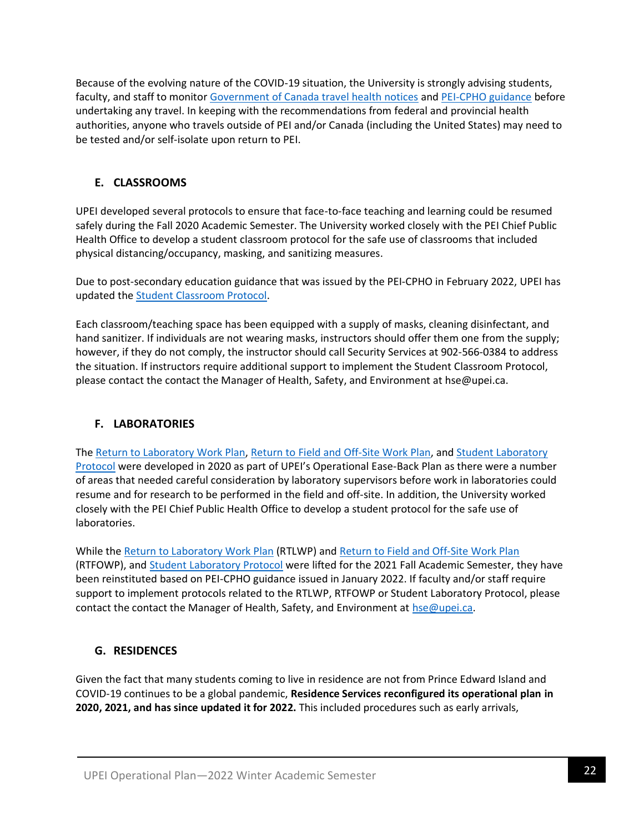Because of the evolving nature of the COVID-19 situation, the University is strongly advising students, faculty, and staff to monitor [Government of Canada travel health notices](https://travel.gc.ca/travelling/health-safety/travel-health-notices) an[d PEI-CPHO guidance](https://www.princeedwardisland.ca/en/topic/travel) before undertaking any travel. In keeping with the recommendations from federal and provincial health authorities, anyone who travels outside of PEI and/or Canada (including the United States) may need to be tested and/or self-isolate upon return to PEI.

## **E. CLASSROOMS**

UPEI developed several protocols to ensure that face-to-face teaching and learning could be resumed safely during the Fall 2020 Academic Semester. The University worked closely with the PEI Chief Public Health Office to develop a student classroom protocol for the safe use of classrooms that included physical distancing/occupancy, masking, and sanitizing measures.

Due to post-secondary education guidance that was issued by the PEI-CPHO in February 2022, UPEI has updated th[e Student Classroom Protocol.](https://www.upei.ca/easebackplan/classroom-protocol-for-students)

Each classroom/teaching space has been equipped with a supply of masks, cleaning disinfectant, and hand sanitizer. If individuals are not wearing masks, instructors should offer them one from the supply; however, if they do not comply, the instructor should call Security Services at 902-566-0384 to address the situation. If instructors require additional support to implement the Student Classroom Protocol, please contact the contact the Manager of Health, Safety, and Environment at hse@upei.ca.

## **F. LABORATORIES**

The [Return to Laboratory Work Plan,](https://www.upei.ca/easebackplan/return-to-laboratory-work-plan) [Return to Field and Off-Site Work Plan,](https://www.upei.ca/easebackplan/return-to-field-off-site-work-plan) and Student Laboratory [Protocol](https://files.upei.ca/misc/upei_laboratory_protocol_for_students.pdf) were developed in 2020 as part of UPEI's Operational Ease-Back Plan as there were a number of areas that needed careful consideration by laboratory supervisors before work in laboratories could resume and for research to be performed in the field and off-site. In addition, the University worked closely with the PEI Chief Public Health Office to develop a student protocol for the safe use of laboratories.

While the [Return to Laboratory Work Plan](https://files.upei.ca/healthandsafety/upei_return_to_laboratory_work_plan.pdf) (RTLWP) and [Return to Field and Off-Site Work Plan](https://files.upei.ca/healthandsafety/upei_return_to_field_off-site_work_plan.pdf) (RTFOWP), and [Student Laboratory](https://files.upei.ca/misc/upei_laboratory_protocol_for_students.pdf) Protocol were lifted for the 2021 Fall Academic Semester, they have been reinstituted based on PEI-CPHO guidance issued in January 2022. If faculty and/or staff require support to implement protocols related to the RTLWP, RTFOWP or Student Laboratory Protocol, please contact the contact the Manager of Health, Safety, and Environment at [hse@upei.ca.](mailto:hse@upei.ca)

## **G. RESIDENCES**

Given the fact that many students coming to live in residence are not from Prince Edward Island and COVID-19 continues to be a global pandemic, **Residence Services reconfigured its operational plan in 2020, 2021, and has since updated it for 2022.** This included procedures such as early arrivals,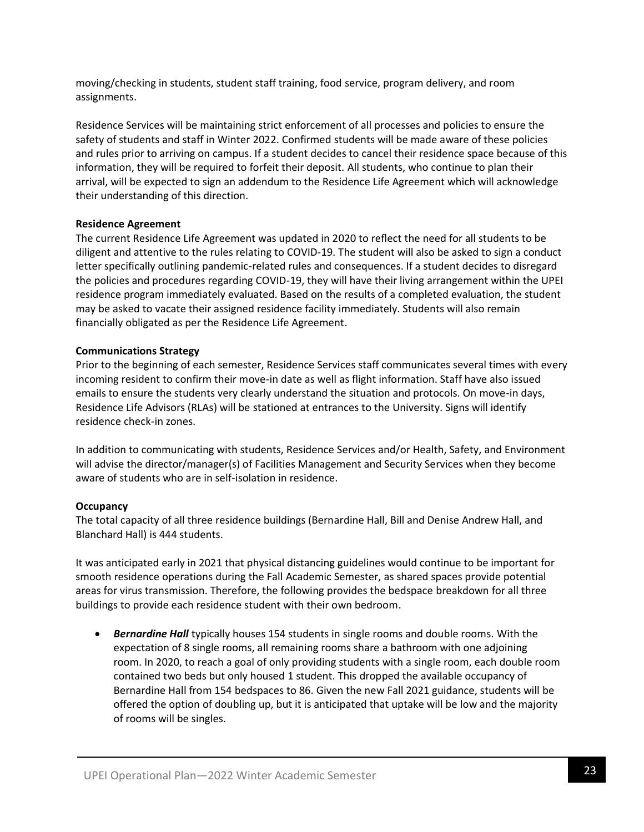moving/checking in students, student staff training, food service, program delivery, and room assignments.

Residence Services will be maintaining strict enforcement of all processes and policies to ensure the safety of students and staff in Winter 2022. Confirmed students will be made aware of these policies and rules prior to arriving on campus. If a student decides to cancel their residence space because of this information, they will be required to forfeit their deposit. All students, who continue to plan their arrival, will be expected to sign an addendum to the Residence Life Agreement which will acknowledge their understanding of this direction.

## **Residence Agreement**

The current Residence Life Agreement was updated in 2020 to reflect the need for all students to be diligent and attentive to the rules relating to COVID-19. The student will also be asked to sign a conduct letter specifically outlining pandemic-related rules and consequences. If a student decides to disregard the policies and procedures regarding COVID-19, they will have their living arrangement within the UPEI residence program immediately evaluated. Based on the results of a completed evaluation, the student may be asked to vacate their assigned residence facility immediately. Students will also remain financially obligated as per the Residence Life Agreement.

#### **Communications Strategy**

Prior to the beginning of each semester, Residence Services staff communicates several times with every incoming resident to confirm their move-in date as well as flight information. Staff have also issued emails to ensure the students very clearly understand the situation and protocols. On move-in days, Residence Life Advisors (RLAs) will be stationed at entrances to the University. Signs will identify residence check-in zones.

In addition to communicating with students, Residence Services and/or Health, Safety, and Environment will advise the director/manager(s) of Facilities Management and Security Services when they become aware of students who are in self-isolation in residence.

## **Occupancy**

The total capacity of all three residence buildings (Bernardine Hall, Bill and Denise Andrew Hall, and Blanchard Hall) is 444 students.

It was anticipated early in 2021 that physical distancing guidelines would continue to be important for smooth residence operations during the Fall Academic Semester, as shared spaces provide potential areas for virus transmission. Therefore, the following provides the bedspace breakdown for all three buildings to provide each residence student with their own bedroom.

• *Bernardine Hall* typically houses 154 students in single rooms and double rooms. With the expectation of 8 single rooms, all remaining rooms share a bathroom with one adjoining room. In 2020, to reach a goal of only providing students with a single room, each double room contained two beds but only housed 1 student. This dropped the available occupancy of Bernardine Hall from 154 bedspaces to 86. Given the new Fall 2021 guidance, students will be offered the option of doubling up, but it is anticipated that uptake will be low and the majority of rooms will be singles.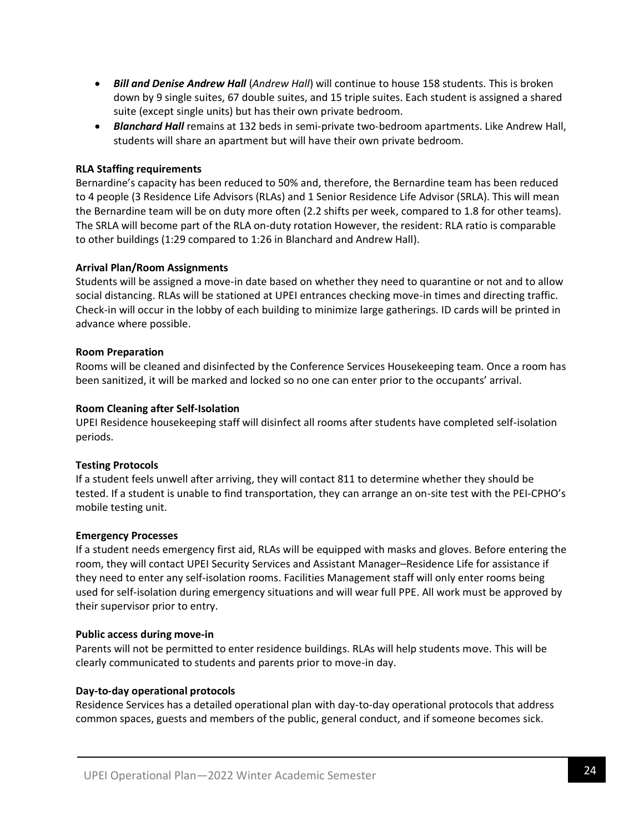- *Bill and Denise Andrew Hall* (*Andrew Hall*) will continue to house 158 students. This is broken down by 9 single suites, 67 double suites, and 15 triple suites. Each student is assigned a shared suite (except single units) but has their own private bedroom.
- *Blanchard Hall* remains at 132 beds in semi-private two-bedroom apartments. Like Andrew Hall, students will share an apartment but will have their own private bedroom.

#### **RLA Staffing requirements**

Bernardine's capacity has been reduced to 50% and, therefore, the Bernardine team has been reduced to 4 people (3 Residence Life Advisors (RLAs) and 1 Senior Residence Life Advisor (SRLA). This will mean the Bernardine team will be on duty more often (2.2 shifts per week, compared to 1.8 for other teams). The SRLA will become part of the RLA on-duty rotation However, the resident: RLA ratio is comparable to other buildings (1:29 compared to 1:26 in Blanchard and Andrew Hall).

#### **Arrival Plan/Room Assignments**

Students will be assigned a move-in date based on whether they need to quarantine or not and to allow social distancing. RLAs will be stationed at UPEI entrances checking move-in times and directing traffic. Check-in will occur in the lobby of each building to minimize large gatherings. ID cards will be printed in advance where possible.

#### **Room Preparation**

Rooms will be cleaned and disinfected by the Conference Services Housekeeping team. Once a room has been sanitized, it will be marked and locked so no one can enter prior to the occupants' arrival.

#### **Room Cleaning after Self-Isolation**

UPEI Residence housekeeping staff will disinfect all rooms after students have completed self-isolation periods.

#### **Testing Protocols**

If a student feels unwell after arriving, they will contact 811 to determine whether they should be tested. If a student is unable to find transportation, they can arrange an on-site test with the PEI-CPHO's mobile testing unit.

#### **Emergency Processes**

If a student needs emergency first aid, RLAs will be equipped with masks and gloves. Before entering the room, they will contact UPEI Security Services and Assistant Manager–Residence Life for assistance if they need to enter any self-isolation rooms. Facilities Management staff will only enter rooms being used for self-isolation during emergency situations and will wear full PPE. All work must be approved by their supervisor prior to entry.

#### **Public access during move-in**

Parents will not be permitted to enter residence buildings. RLAs will help students move. This will be clearly communicated to students and parents prior to move-in day.

#### **Day-to-day operational protocols**

Residence Services has a detailed operational plan with day-to-day operational protocols that address common spaces, guests and members of the public, general conduct, and if someone becomes sick.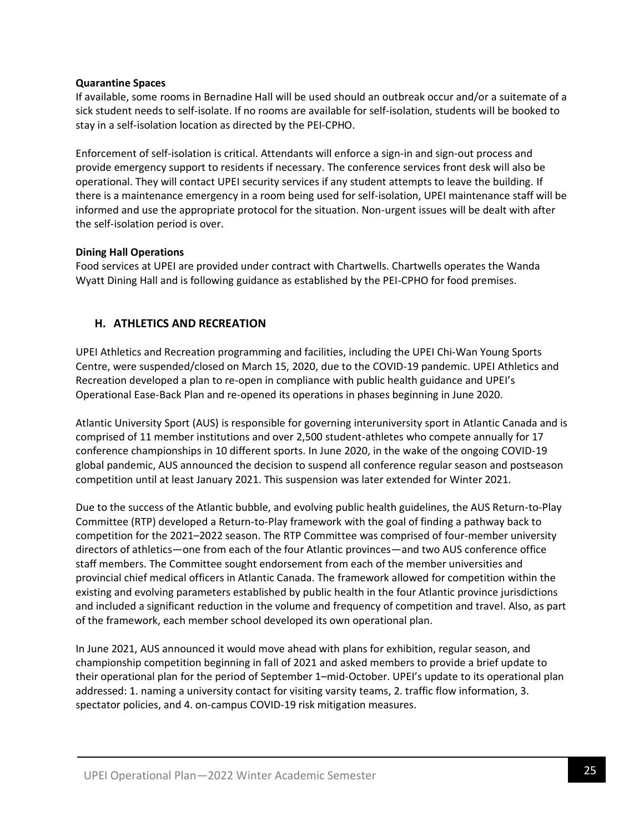## **Quarantine Spaces**

If available, some rooms in Bernadine Hall will be used should an outbreak occur and/or a suitemate of a sick student needs to self-isolate. If no rooms are available for self-isolation, students will be booked to stay in a self-isolation location as directed by the PEI-CPHO.

Enforcement of self-isolation is critical. Attendants will enforce a sign-in and sign-out process and provide emergency support to residents if necessary. The conference services front desk will also be operational. They will contact UPEI security services if any student attempts to leave the building. If there is a maintenance emergency in a room being used for self-isolation, UPEI maintenance staff will be informed and use the appropriate protocol for the situation. Non-urgent issues will be dealt with after the self-isolation period is over.

## **Dining Hall Operations**

Food services at UPEI are provided under contract with Chartwells. Chartwells operates the Wanda Wyatt Dining Hall and is following guidance as established by the PEI-CPHO for food premises.

## **H. ATHLETICS AND RECREATION**

UPEI Athletics and Recreation programming and facilities, including the UPEI Chi-Wan Young Sports Centre, were suspended/closed on March 15, 2020, due to the COVID-19 pandemic. UPEI Athletics and Recreation developed a plan to re-open in compliance with public health guidance and UPEI's Operational Ease-Back Plan and re-opened its operations in phases beginning in June 2020.

Atlantic University Sport (AUS) is responsible for governing interuniversity sport in Atlantic Canada and is comprised of 11 member institutions and over 2,500 student-athletes who compete annually for 17 conference championships in 10 different sports. In June 2020, in the wake of the ongoing COVID-19 global pandemic, AUS announced the decision to suspend all conference regular season and postseason competition until at least January 2021. This suspension was later extended for Winter 2021.

Due to the success of the Atlantic bubble, and evolving public health guidelines, the AUS Return-to-Play Committee (RTP) developed a Return-to-Play framework with the goal of finding a pathway back to competition for the 2021–2022 season. The RTP Committee was comprised of four-member university directors of athletics—one from each of the four Atlantic provinces—and two AUS conference office staff members. The Committee sought endorsement from each of the member universities and provincial chief medical officers in Atlantic Canada. The framework allowed for competition within the existing and evolving parameters established by public health in the four Atlantic province jurisdictions and included a significant reduction in the volume and frequency of competition and travel. Also, as part of the framework, each member school developed its own operational plan.

In June 2021, AUS announced it would move ahead with plans for exhibition, regular season, and championship competition beginning in fall of 2021 and asked members to provide a brief update to their operational plan for the period of September 1–mid-October. UPEI's update to its operational plan addressed: 1. naming a university contact for visiting varsity teams, 2. traffic flow information, 3. spectator policies, and 4. on-campus COVID-19 risk mitigation measures.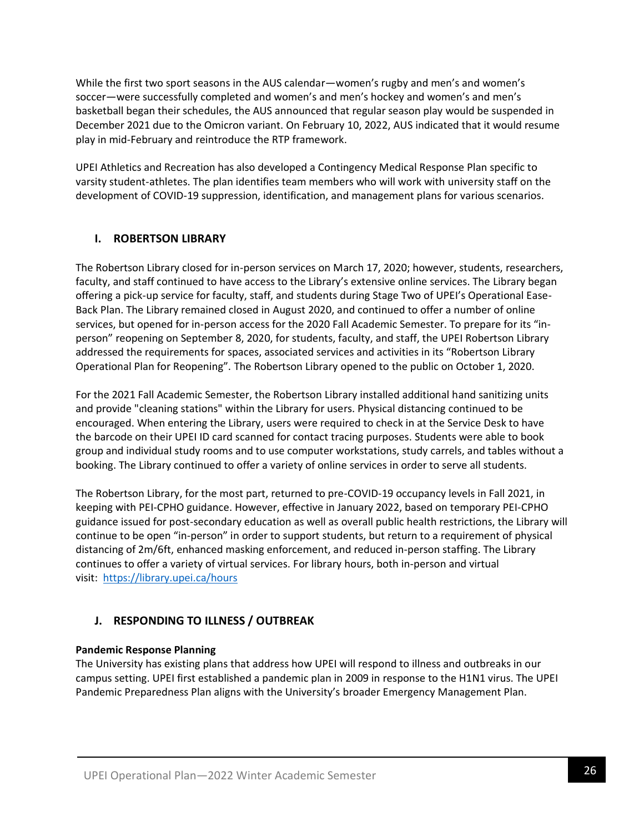While the first two sport seasons in the AUS calendar—women's rugby and men's and women's soccer—were successfully completed and women's and men's hockey and women's and men's basketball began their schedules, the AUS announced that regular season play would be suspended in December 2021 due to the Omicron variant. On February 10, 2022, AUS indicated that it would resume play in mid-February and reintroduce the RTP framework.

UPEI Athletics and Recreation has also developed a Contingency Medical Response Plan specific to varsity student-athletes. The plan identifies team members who will work with university staff on the development of COVID-19 suppression, identification, and management plans for various scenarios.

## **I. ROBERTSON LIBRARY**

The Robertson Library closed for in-person services on March 17, 2020; however, students, researchers, faculty, and staff continued to have access to the Library's extensive online services. The Library began offering a pick-up service for faculty, staff, and students during Stage Two of UPEI's Operational Ease-Back Plan. The Library remained closed in August 2020, and continued to offer a number of online services, but opened for in-person access for the 2020 Fall Academic Semester. To prepare for its "inperson" reopening on September 8, 2020, for students, faculty, and staff, the UPEI Robertson Library addressed the requirements for spaces, associated services and activities in its "Robertson Library Operational Plan for Reopening". The Robertson Library opened to the public on October 1, 2020.

For the 2021 Fall Academic Semester, the Robertson Library installed additional hand sanitizing units and provide "cleaning stations" within the Library for users. Physical distancing continued to be encouraged. When entering the Library, users were required to check in at the Service Desk to have the barcode on their UPEI ID card scanned for contact tracing purposes. Students were able to book group and individual study rooms and to use computer workstations, study carrels, and tables without a booking. The Library continued to offer a variety of online services in order to serve all students.

The Robertson Library, for the most part, returned to pre-COVID-19 occupancy levels in Fall 2021, in keeping with PEI-CPHO guidance. However, effective in January 2022, based on temporary PEI-CPHO guidance issued for post-secondary education as well as overall public health restrictions, the Library will continue to be open "in-person" in order to support students, but return to a requirement of physical distancing of 2m/6ft, enhanced masking enforcement, and reduced in-person staffing. The Library continues to offer a variety of virtual services. For library hours, both in-person and virtual visit: <https://library.upei.ca/hours>

## **J. RESPONDING TO ILLNESS / OUTBREAK**

## **Pandemic Response Planning**

The University has existing plans that address how UPEI will respond to illness and outbreaks in our campus setting. UPEI first established a pandemic plan in 2009 in response to the H1N1 virus. The UPEI Pandemic Preparedness Plan aligns with the University's broader Emergency Management Plan.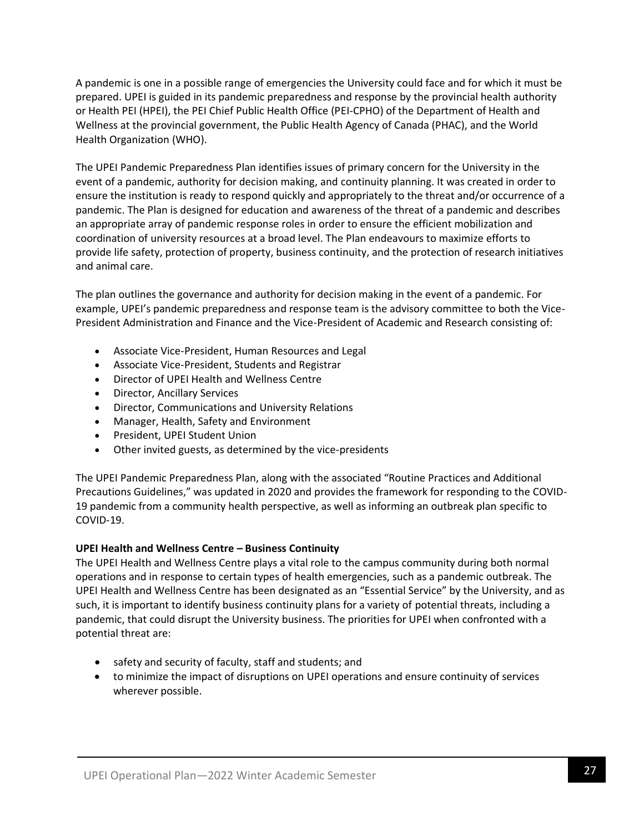A pandemic is one in a possible range of emergencies the University could face and for which it must be prepared. UPEI is guided in its pandemic preparedness and response by the provincial health authority or Health PEI (HPEI), the PEI Chief Public Health Office (PEI-CPHO) of the Department of Health and Wellness at the provincial government, the Public Health Agency of Canada (PHAC), and the World Health Organization (WHO).

The UPEI Pandemic Preparedness Plan identifies issues of primary concern for the University in the event of a pandemic, authority for decision making, and continuity planning. It was created in order to ensure the institution is ready to respond quickly and appropriately to the threat and/or occurrence of a pandemic. The Plan is designed for education and awareness of the threat of a pandemic and describes an appropriate array of pandemic response roles in order to ensure the efficient mobilization and coordination of university resources at a broad level. The Plan endeavours to maximize efforts to provide life safety, protection of property, business continuity, and the protection of research initiatives and animal care.

The plan outlines the governance and authority for decision making in the event of a pandemic. For example, UPEI's pandemic preparedness and response team is the advisory committee to both the Vice-President Administration and Finance and the Vice-President of Academic and Research consisting of:

- Associate Vice-President, Human Resources and Legal
- Associate Vice-President, Students and Registrar
- Director of UPEI Health and Wellness Centre
- Director, Ancillary Services
- Director, Communications and University Relations
- Manager, Health, Safety and Environment
- President, UPEI Student Union
- Other invited guests, as determined by the vice-presidents

The UPEI Pandemic Preparedness Plan, along with the associated "Routine Practices and Additional Precautions Guidelines," was updated in 2020 and provides the framework for responding to the COVID-19 pandemic from a community health perspective, as well as informing an outbreak plan specific to COVID-19.

## **UPEI Health and Wellness Centre – Business Continuity**

The UPEI Health and Wellness Centre plays a vital role to the campus community during both normal operations and in response to certain types of health emergencies, such as a pandemic outbreak. The UPEI Health and Wellness Centre has been designated as an "Essential Service" by the University, and as such, it is important to identify business continuity plans for a variety of potential threats, including a pandemic, that could disrupt the University business. The priorities for UPEI when confronted with a potential threat are:

- safety and security of faculty, staff and students; and
- to minimize the impact of disruptions on UPEI operations and ensure continuity of services wherever possible.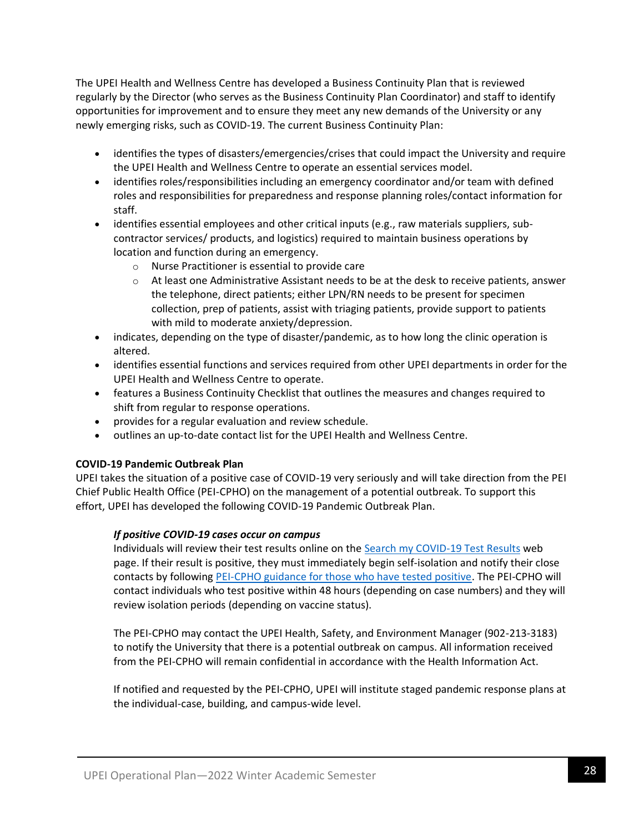The UPEI Health and Wellness Centre has developed a Business Continuity Plan that is reviewed regularly by the Director (who serves as the Business Continuity Plan Coordinator) and staff to identify opportunities for improvement and to ensure they meet any new demands of the University or any newly emerging risks, such as COVID-19. The current Business Continuity Plan:

- identifies the types of disasters/emergencies/crises that could impact the University and require the UPEI Health and Wellness Centre to operate an essential services model.
- identifies roles/responsibilities including an emergency coordinator and/or team with defined roles and responsibilities for preparedness and response planning roles/contact information for staff.
- identifies essential employees and other critical inputs (e.g., raw materials suppliers, subcontractor services/ products, and logistics) required to maintain business operations by location and function during an emergency.
	- o Nurse Practitioner is essential to provide care
	- $\circ$  At least one Administrative Assistant needs to be at the desk to receive patients, answer the telephone, direct patients; either LPN/RN needs to be present for specimen collection, prep of patients, assist with triaging patients, provide support to patients with mild to moderate anxiety/depression.
- indicates, depending on the type of disaster/pandemic, as to how long the clinic operation is altered.
- identifies essential functions and services required from other UPEI departments in order for the UPEI Health and Wellness Centre to operate.
- features a Business Continuity Checklist that outlines the measures and changes required to shift from regular to response operations.
- provides for a regular evaluation and review schedule.
- outlines an up-to-date contact list for the UPEI Health and Wellness Centre.

## **COVID-19 Pandemic Outbreak Plan**

UPEI takes the situation of a positive case of COVID-19 very seriously and will take direction from the PEI Chief Public Health Office (PEI-CPHO) on the management of a potential outbreak. To support this effort, UPEI has developed the following COVID-19 Pandemic Outbreak Plan.

## *If positive COVID-19 cases occur on campus*

Individuals will review their test results online on the [Search my COVID-19 Test Results](https://www.princeedwardisland.ca/en/feature/search-my-covid-19-test-results#/service/CovidNegativeResults/CovidNegativeResultsSearch) web page. If their result is positive, they must immediately begin self-isolation and notify their close contacts by following [PEI-CPHO guidance for those who have tested positive.](https://www.princeedwardisland.ca/en/information/health-and-wellness/information-for-people-who-have-tested-positive-for-covid-19) The PEI-CPHO will contact individuals who test positive within 48 hours (depending on case numbers) and they will review isolation periods (depending on vaccine status).

The PEI-CPHO may contact the UPEI Health, Safety, and Environment Manager (902-213-3183) to notify the University that there is a potential outbreak on campus. All information received from the PEI-CPHO will remain confidential in accordance with the Health Information Act.

If notified and requested by the PEI-CPHO, UPEI will institute staged pandemic response plans at the individual-case, building, and campus-wide level.